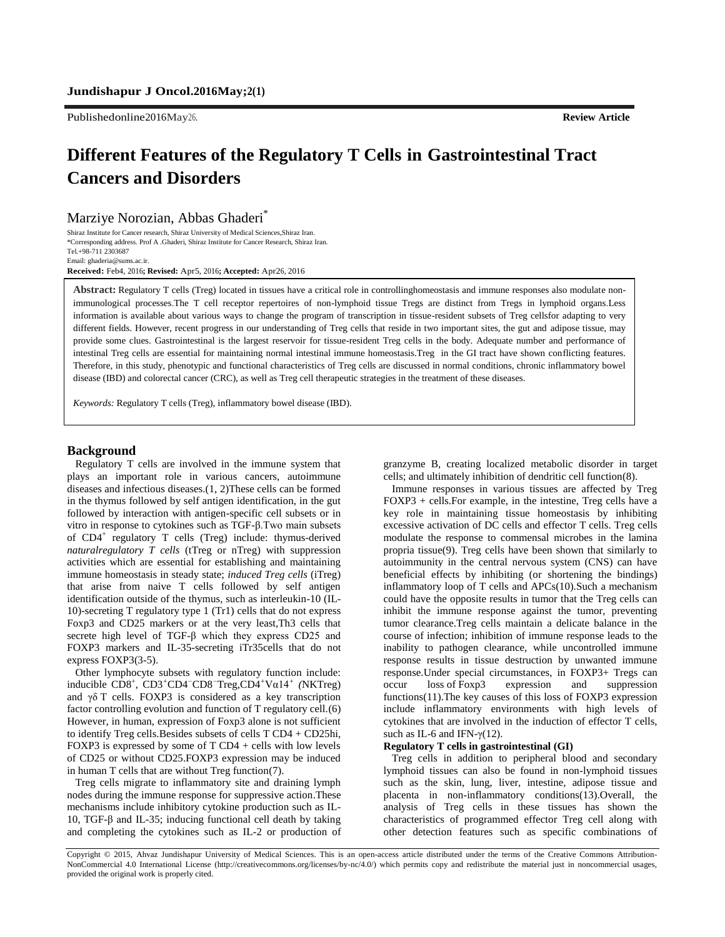Publishedonline2016May26. **Review Article**

# **Different Features of the Regulatory T Cells in Gastrointestinal Tract Cancers and Disorders**

Marziye Norozian, Abbas Ghaderi\*

Shiraz Institute for Cancer research, Shiraz University of Medical Sciences,Shiraz Iran. \*Corresponding address. Prof A .Ghaderi, Shiraz Institute for Cancer Research, Shiraz Iran. Tel.+98-711 2303687 Email: ghaderia@sums.ac.ir.

**Received:** Feb4, 2016**; Revised:** Apr5, 2016**; Accepted:** Apr26, 2016

**Abstract:** Regulatory T cells (Treg) located in tissues have a critical role in controllinghomeostasis and immune responses also modulate nonimmunological processes.The T cell receptor repertoires of non-lymphoid tissue Tregs are distinct from Tregs in lymphoid organs.Less information is available about various ways to change the program of transcription in tissue-resident subsets of Treg cellsfor adapting to very different fields. However, recent progress in our understanding of Treg cells that reside in two important sites, the gut and adipose tissue, may provide some clues. Gastrointestinal is the largest reservoir for tissue-resident Treg cells in the body. Adequate number and performance of intestinal Treg cells are essential for maintaining normal intestinal immune homeostasis.Treg in the GI tract have shown conflicting features. Therefore, in this study, phenotypic and functional characteristics of Treg cells are discussed in normal conditions, chronic inflammatory bowel disease (IBD) and colorectal cancer (CRC), as well as Treg cell therapeutic strategies in the treatment of these diseases.

*Keywords:* Regulatory T cells (Treg), inflammatory bowel disease (IBD).

#### **Background**

Regulatory T cells are involved in the immune system that plays an important role in various cancers, autoimmune diseases and infectious diseases.[\(1,](#page-6-0) [2\)](#page-6-1)These cells can be formed in the thymus followed by self antigen identification, in the gut followed by interaction with antigen-specific cell subsets or in vitro in response to cytokines such as TGF-β.Two main subsets of CD4<sup>+</sup> regulatory T cells (Treg) include: thymus-derived *naturalregulatory T cells* (tTreg or nTreg) with suppression activities which are essential for establishing and maintaining immune homeostasis in steady state; *induced Treg cells* (iTreg) that arise from naive T cells followed by self antigen identification outside of the thymus, such as interleukin-10 (IL-10)-secreting T regulatory type 1 (Tr1) cells that do not express Foxp3 and CD25 markers or at the very least,Th3 cells that secrete high level of TGF-β which they express CD25 and FOXP3 markers and IL-35-secreting iTr35cells that do not express FOXP3[\(3-5\)](#page-6-2).

Other lymphocyte subsets with regulatory function include: inducible CD8<sup>+</sup> , CD3*<sup>+</sup>*CD4*<sup>−</sup>*CD8*<sup>−</sup>*Treg,CD4*<sup>+</sup>*Vα14*<sup>+</sup> (*NKTreg) and  $\gamma\delta$  T cells. FOXP3 is considered as a key transcription factor controlling evolution and function of T regulatory cell.[\(6\)](#page-6-3) However, in human, expression of Foxp3 alone is not sufficient to identify Treg cells.Besides subsets of cells T CD4 + CD25hi, FOXP3 is expressed by some of  $T$  CD4 + cells with low levels of CD25 or without CD25.FOXP3 expression may be induced in human T cells that are without Treg function[\(7\)](#page-6-4).

Treg cells migrate to inflammatory site and draining lymph nodes during the immune response for suppressive action.These mechanisms include inhibitory cytokine production such as IL-10, TGF-β and IL-35; inducing functional cell death by taking and completing the cytokines such as IL-2 or production of granzyme B, creating localized metabolic disorder in target cells; and ultimately inhibition of dendritic cell function[\(8\)](#page-6-5).

Immune responses in various tissues are affected by Treg FOXP3 + cells.For example, in the intestine, Treg cells have a key role in maintaining tissue homeostasis by inhibiting excessive activation of DC cells and effector T cells. Treg cells modulate the response to commensal microbes in the lamina propria tissue[\(9\)](#page-6-6). Treg cells have been shown that similarly to autoimmunity in the central nervous system (CNS) can have beneficial effects by inhibiting (or shortening the bindings) inflammatory loop of T cells and APCs[\(10\)](#page-6-7).Such a mechanism could have the opposite results in tumor that the Treg cells can inhibit the immune response against the tumor, preventing tumor clearance.Treg cells maintain a delicate balance in the course of infection; inhibition of immune response leads to the inability to pathogen clearance, while uncontrolled immune response results in tissue destruction by unwanted immune response.Under special circumstances, in FOXP3+ Tregs can occur loss of Foxp3 expression and suppression functions[\(11\)](#page-6-8).The key causes of this loss of FOXP3 expression include inflammatory environments with high levels of cytokines that are involved in the induction of effector T cells, such as IL-6 and IFN- $\gamma$ [\(12\)](#page-6-9).

#### **Regulatory T cells in gastrointestinal (GI)**

Treg cells in addition to peripheral blood and secondary lymphoid tissues can also be found in non-lymphoid tissues such as the skin, lung, liver, intestine, adipose tissue and placenta in non-inflammatory conditions[\(13\)](#page-6-10).Overall, the analysis of Treg cells in these tissues has shown the characteristics of programmed effector Treg cell along with other detection features such as specific combinations of

Copyright © 2015, Ahvaz Jundishapur University of Medical Sciences. This is an open-access article distributed under the terms of the Creative Commons Attribution-NonCommercial 4.0 International License (http://creativecommons.org/licenses/by-nc/4.0/) which permits copy and redistribute the material just in noncommercial usages, provided the original work is properly cited.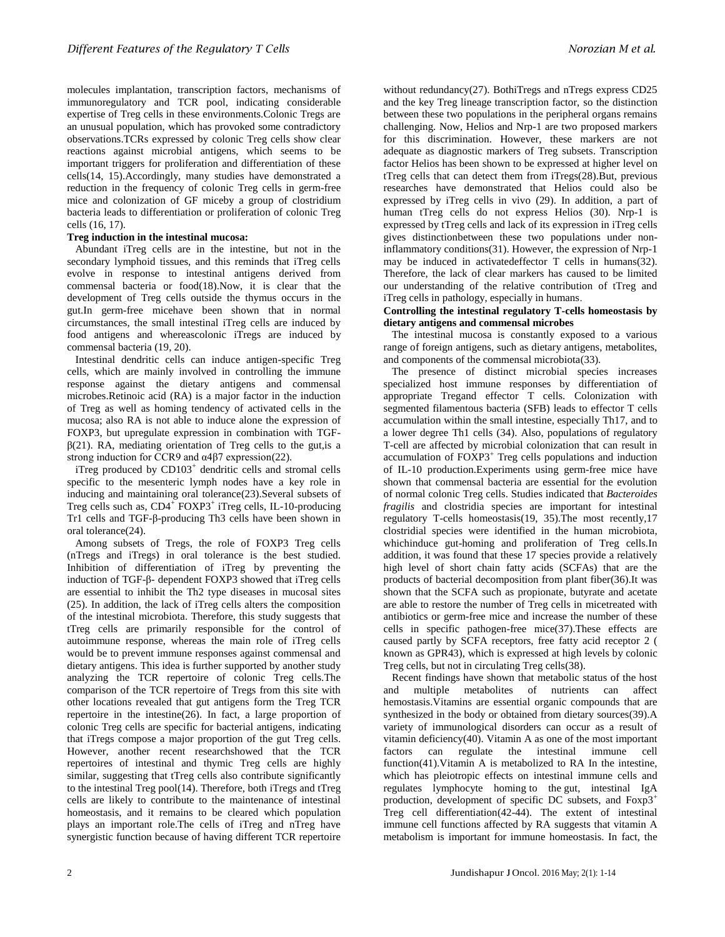molecules implantation, transcription factors, mechanisms of immunoregulatory and TCR pool, indicating considerable expertise of Treg cells in these environments.Colonic Tregs are an unusual population, which has provoked some contradictory observations.TCRs expressed by colonic Treg cells show clear reactions against microbial antigens, which seems to be important triggers for proliferation and differentiation of these cells[\(14,](#page-6-11) [15\)](#page-6-12).Accordingly, many studies have demonstrated a reduction in the frequency of colonic Treg cells in germ-free mice and colonization of GF miceby a group of clostridium bacteria leads to differentiation or proliferation of colonic Treg cells [\(16,](#page-6-13) [17\)](#page-6-14).

## **Treg induction in the intestinal mucosa:**

Abundant iTreg cells are in the intestine, but not in the secondary lymphoid tissues, and this reminds that iTreg cells evolve in response to intestinal antigens derived from commensal bacteria or food[\(18\)](#page-6-15).Now, it is clear that the development of Treg cells outside the thymus occurs in the gut.In germ-free micehave been shown that in normal circumstances, the small intestinal iTreg cells are induced by food antigens and whereascolonic iTregs are induced by commensal bacteria [\(19,](#page-6-16) [20\)](#page-6-17).

Intestinal dendritic cells can induce antigen-specific Treg cells, which are mainly involved in controlling the immune response against the dietary antigens and commensal microbes.Retinoic acid (RA) is a major factor in the induction of Treg as well as homing tendency of activated cells in the mucosa; also RA is not able to induce alone the expression of FOXP3, but upregulate expression in combination with TGF- $\beta$ [\(21\)](#page-6-18). RA, mediating orientation of Treg cells to the gut, is a strong induction for CCR9 and  $\alpha$ 4β7 expression[\(22\)](#page-6-19).

iTreg produced by CD103<sup>+</sup> dendritic cells and stromal cells specific to the mesenteric lymph nodes have a key role in inducing and maintaining oral tolerance[\(23\)](#page-6-20).Several subsets of Treg cells such as, CD4<sup>+</sup> FOXP3<sup>+</sup> iTreg cells, IL-10-producing Tr1 cells and TGF-β-producing Th3 cells have been shown in oral tolerance[\(24\)](#page-6-21).

Among subsets of Tregs, the role of FOXP3 Treg cells (nTregs and iTregs) in oral tolerance is the best studied. Inhibition of differentiation of iTreg by preventing the induction of TGF-β- dependent FOXP3 showed that iTreg cells are essential to inhibit the Th2 type diseases in mucosal sites [\(25\)](#page-6-22). In addition, the lack of iTreg cells alters the composition of the intestinal microbiota. Therefore, this study suggests that tTreg cells are primarily responsible for the control of autoimmune response, whereas the main role of iTreg cells would be to prevent immune responses against commensal and dietary antigens. This idea is further supported by another study analyzing the TCR repertoire of colonic Treg cells.The comparison of the TCR repertoire of Tregs from this site with other locations revealed that gut antigens form the Treg TCR repertoire in the intestine[\(26\)](#page-6-23). In fact, a large proportion of colonic Treg cells are specific for bacterial antigens, indicating that iTregs compose a major proportion of the gut Treg cells. However, another recent researchshowed that the TCR repertoires of intestinal and thymic Treg cells are highly similar, suggesting that tTreg cells also contribute significantly to the intestinal Treg pool[\(14\)](#page-6-11). Therefore, both iTregs and tTreg cells are likely to contribute to the maintenance of intestinal homeostasis, and it remains to be cleared which population plays an important role.The cells of iTreg and nTreg have synergistic function because of having different TCR repertoire

without redundancy[\(27\)](#page-6-24). BothiTregs and nTregs express CD25 and the key Treg lineage transcription factor, so the distinction between these two populations in the peripheral organs remains challenging. Now, Helios and Nrp-1 are two proposed markers for this discrimination. However, these markers are not adequate as diagnostic markers of Treg subsets. Transcription factor Helios has been shown to be expressed at higher level on tTreg cells that can detect them from iTregs[\(28\)](#page-6-25).But, previous researches have demonstrated that Helios could also be expressed by iTreg cells in vivo [\(29\)](#page-6-26). In addition, a part of human tTreg cells do not express Helios [\(30\)](#page-6-27). Nrp-1 is expressed by tTreg cells and lack of its expression in iTreg cells gives distinctionbetween these two populations under noninflammatory conditions[\(31\)](#page-6-28). However, the expression of Nrp-1 may be induced in activatedeffector T cells in humans[\(32\)](#page-6-29). Therefore, the lack of clear markers has caused to be limited our understanding of the relative contribution of tTreg and iTreg cells in pathology, especially in humans.

## **Controlling the intestinal regulatory T-cells homeostasis by dietary antigens and commensal microbes**

The intestinal mucosa is constantly exposed to a various range of foreign antigens, such as dietary antigens, metabolites, and components of the commensal microbiota[\(33\)](#page-6-30).

The presence of distinct microbial species increases specialized host immune responses by differentiation of appropriate Tregand effector T cells. Colonization with segmented filamentous bacteria (SFB) leads to effector T cells accumulation within the small intestine, especially Th17, and to a lower degree Th1 cells [\(34\)](#page-6-31). Also, populations of regulatory T-cell are affected by microbial colonization that can result in accumulation of FOXP3<sup>+</sup> Treg cells populations and induction of IL-10 production.Experiments using germ-free mice have shown that commensal bacteria are essential for the evolution of normal colonic Treg cells. Studies indicated that *Bacteroides fragilis* and clostridia species are important for intestinal regulatory T-cells homeostasis[\(19,](#page-6-16) [35\)](#page-7-0).The most recently,17 clostridial species were identified in the human microbiota, whichinduce gut-homing and proliferation of Treg cells.In addition, it was found that these 17 species provide a relatively high level of short chain fatty acids (SCFAs) that are the products of bacterial decomposition from plant fiber[\(36\)](#page-7-1).It was shown that the SCFA such as propionate, butyrate and acetate are able to restore the number of Treg cells in micetreated with antibiotics or germ-free mice and increase the number of these cells in specific pathogen-free mice[\(37\)](#page-7-2).These effects are caused partly by SCFA receptors, free fatty acid receptor 2 ( known as GPR43), which is expressed at high levels by colonic Treg cells, but not in circulating Treg cells[\(38\)](#page-7-3).

Recent findings have shown that metabolic status of the host and multiple metabolites of nutrients can affect hemostasis.Vitamins are essential organic compounds that are synthesized in the body or obtained from dietary sources[\(39\)](#page-7-4).A variety of immunological disorders can occur as a result of vitamin deficiency[\(40\)](#page-7-5). Vitamin A as one of the most important factors can regulate the intestinal immune cell function[\(41\)](#page-7-6).Vitamin A is metabolized to RA In the intestine, which has pleiotropic effects on intestinal immune cells and regulates lymphocyte homing to the gut, intestinal IgA production, development of specific DC subsets, and Foxp3<sup>+</sup> Treg cell differentiation[\(42-44\)](#page-7-7). The extent of intestinal immune cell functions affected by RA suggests that vitamin A metabolism is important for immune homeostasis. In fact, the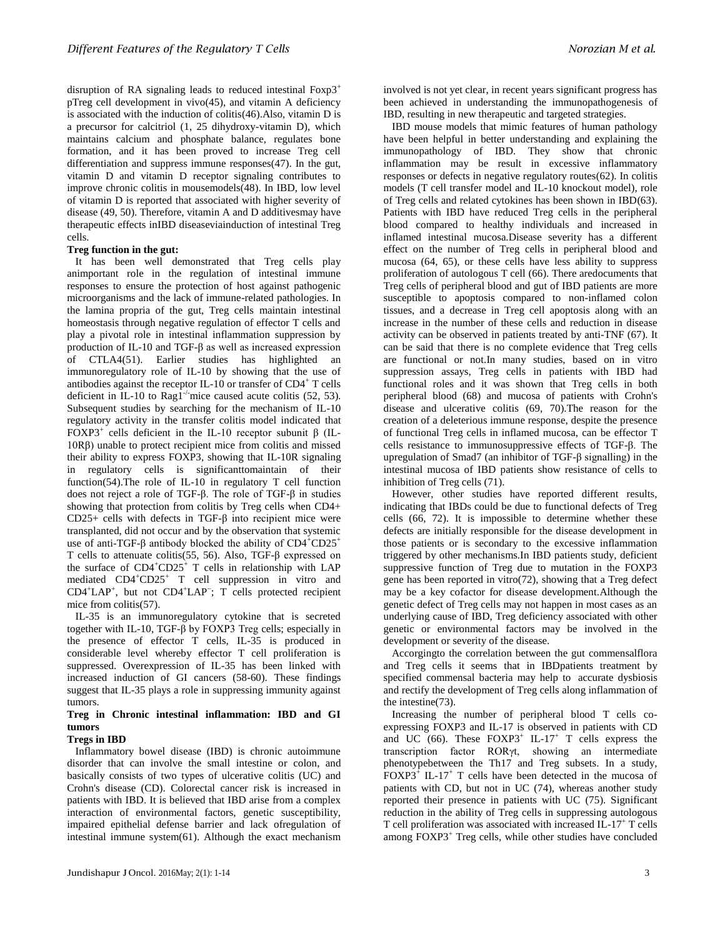disruption of RA signaling leads to reduced intestinal  $F\alpha p3^+$ pTreg cell development in vivo[\(45\)](#page-7-8), and vitamin A deficiency is associated with the induction of colitis[\(46\)](#page-7-9).Also, vitamin D is a precursor for calcitriol (1, 25 dihydroxy-vitamin D), which maintains calcium and phosphate balance, regulates bone formation, and it has been proved to increase Treg cell differentiation and suppress immune responses[\(47\)](#page-7-10). In the gut, vitamin D and vitamin D receptor signaling contributes to improve chronic colitis in mousemodels[\(48\)](#page-7-11). In IBD, low level of vitamin D is reported that associated with higher severity of disease [\(49,](#page-7-12) [50\)](#page-7-13). Therefore, vitamin A and D additivesmay have therapeutic effects inIBD diseaseviainduction of intestinal Treg cells.

## **Treg function in the gut:**

It has been well demonstrated that Treg cells play animportant role in the regulation of intestinal immune responses to ensure the protection of host against pathogenic microorganisms and the lack of immune-related pathologies. In the lamina propria of the gut, Treg cells maintain intestinal homeostasis through negative regulation of effector T cells and play a pivotal role in intestinal inflammation suppression by production of IL-10 and TGF-β as well as increased expression of CTLA4[\(51\)](#page-7-14). Earlier studies has highlighted an immunoregulatory role of IL-10 by showing that the use of antibodies against the receptor IL-10 or transfer of CD4<sup>+</sup> T cells deficient in IL-10 to Rag1<sup>-/-</sup>mice caused acute colitis  $(52, 53)$  $(52, 53)$ . Subsequent studies by searching for the mechanism of IL-10 regulatory activity in the transfer colitis model indicated that FOXP3<sup>+</sup> cells deficient in the IL-10 receptor subunit  $\beta$  (IL-10Rβ) unable to protect recipient mice from colitis and missed their ability to express FOXP3, showing that IL-10R signaling in regulatory cells is significanttomaintain of their function[\(54\)](#page-7-17).The role of IL-10 in regulatory T cell function does not reject a role of TGF-β. The role of TGF-β in studies showing that protection from colitis by Treg cells when CD4+ CD25+ cells with defects in TGF-β into recipient mice were transplanted, did not occur and by the observation that systemic use of anti-TGF- $\beta$  antibody blocked the ability of CD4<sup>+</sup>CD25<sup>+</sup> T cells to attenuate colitis[\(55,](#page-7-18) [56\)](#page-7-19). Also, TGF-β expressed on the surface of CD4<sup>+</sup>CD25<sup>+</sup> T cells in relationship with LAP mediated CD4<sup>+</sup>CD25<sup>+</sup> T cell suppression in vitro and CD4<sup>+</sup>LAP<sup>+</sup> , but not CD4<sup>+</sup>LAP<sup>−</sup> ; T cells protected recipient mice from colitis[\(57\)](#page-7-20).

IL-35 is an immunoregulatory cytokine that is secreted together with IL-10, TGF-β by FOXP3 Treg cells; especially in the presence of effector T cells, IL-35 is produced in considerable level whereby effector T cell proliferation is suppressed. Overexpression of IL-35 has been linked with increased induction of GI cancers [\(58-60\)](#page-7-21). These findings suggest that IL-35 plays a role in suppressing immunity against tumors.

## **Treg in Chronic intestinal inflammation: IBD and GI tumors**

## **Tregs in IBD**

Inflammatory bowel disease (IBD) is chronic autoimmune disorder that can involve the small intestine or colon, and basically consists of two types of ulcerative colitis (UC) and Crohn's disease (CD). Colorectal cancer risk is increased in patients with IBD. It is believed that IBD arise from a complex interaction of environmental factors, genetic susceptibility, impaired epithelial defense barrier and lack ofregulation of intestinal immune system[\(61\)](#page-7-22). Although the exact mechanism

involved is not yet clear, in recent years significant progress has been achieved in understanding the immunopathogenesis of IBD, resulting in new therapeutic and targeted strategies.

IBD mouse models that mimic features of human pathology have been helpful in better understanding and explaining the immunopathology of IBD. They show that chronic inflammation may be result in excessive inflammatory responses or defects in negative regulatory routes[\(62\)](#page-7-23). In colitis models (T cell transfer model and IL-10 knockout model), role of Treg cells and related cytokines has been shown in IBD[\(63\)](#page-7-24). Patients with IBD have reduced Treg cells in the peripheral blood compared to healthy individuals and increased in inflamed intestinal mucosa.Disease severity has a different effect on the number of Treg cells in peripheral blood and mucosa [\(64,](#page-7-25) [65\)](#page-7-26), or these cells have less ability to suppress proliferation of autologous T cell [\(66\)](#page-7-27). There aredocuments that Treg cells of peripheral blood and gut of IBD patients are more susceptible to apoptosis compared to non-inflamed colon tissues, and a decrease in Treg cell apoptosis along with an increase in the number of these cells and reduction in disease activity can be observed in patients treated by anti-TNF [\(67\)](#page-7-28). It can be said that there is no complete evidence that Treg cells are functional or not.In many studies, based on in vitro suppression assays, Treg cells in patients with IBD had functional roles and it was shown that Treg cells in both peripheral blood [\(68\)](#page-7-29) and mucosa of patients with Crohn's disease and ulcerative colitis [\(69,](#page-7-30) [70\)](#page-7-31).The reason for the creation of a deleterious immune response, despite the presence of functional Treg cells in inflamed mucosa, can be effector T cells resistance to immunosuppressive effects of TGF-β. The upregulation of Smad7 (an inhibitor of TGF-β signalling) in the intestinal mucosa of IBD patients show resistance of cells to inhibition of Treg cells [\(71\)](#page-7-32).

However, other studies have reported different results, indicating that IBDs could be due to functional defects of Treg cells [\(66,](#page-7-27) [72\)](#page-7-33). It is impossible to determine whether these defects are initially responsible for the disease development in those patients or is secondary to the excessive inflammation triggered by other mechanisms.In IBD patients study, deficient suppressive function of Treg due to mutation in the FOXP3 gene has been reported in vitro[\(72\)](#page-7-33), showing that a Treg defect may be a key cofactor for disease development.Although the genetic defect of Treg cells may not happen in most cases as an underlying cause of IBD, Treg deficiency associated with other genetic or environmental factors may be involved in the development or severity of the disease.

Accorgingto the correlation between the gut commensalflora and Treg cells it seems that in IBDpatients treatment by specified commensal bacteria may help to accurate dysbiosis and rectify the development of Treg cells along inflammation of the intestine[\(73\)](#page-7-34).

Increasing the number of peripheral blood T cells coexpressing FOXP3 and IL-17 is observed in patients with CD and UC [\(66\)](#page-7-27). These  $FOXP3^+$  IL-17<sup>+</sup> T cells express the transcription factor RORγt, showing an intermediate phenotypebetween the Th17 and Treg subsets. In a study,  $F\text{OXP3}^+$  IL-17<sup>+</sup> T cells have been detected in the mucosa of patients with CD, but not in UC [\(74\)](#page-7-35), whereas another study reported their presence in patients with UC [\(75\)](#page-7-36). Significant reduction in the ability of Treg cells in suppressing autologous T cell proliferation was associated with increased IL-17<sup>+</sup> T cells among FOXP3<sup>+</sup> Treg cells, while other studies have concluded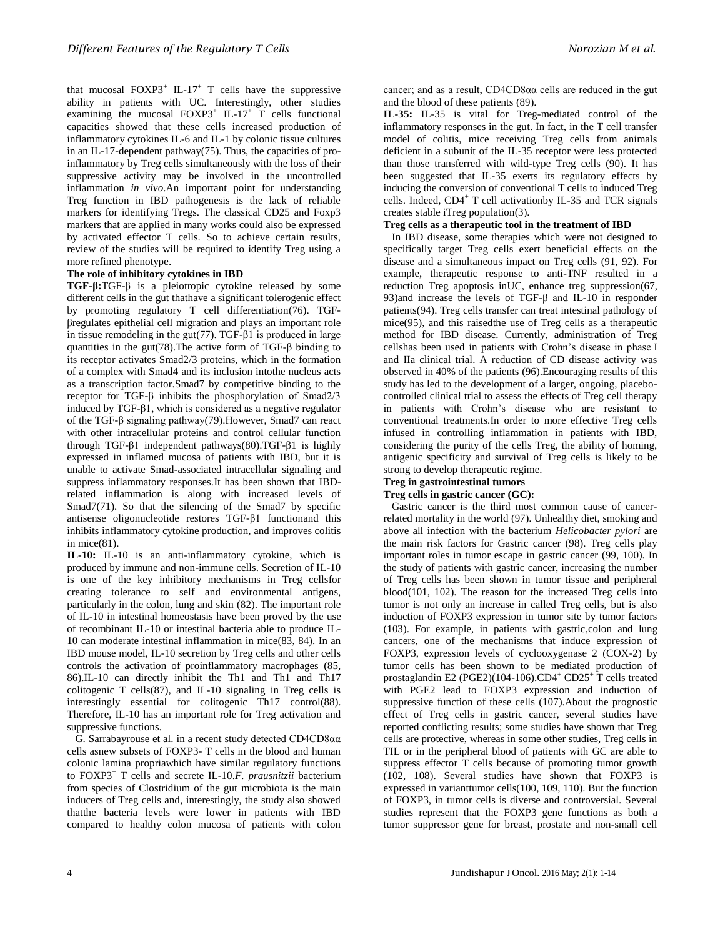that mucosal  $FOXP3^+$  IL-17<sup>+</sup> T cells have the suppressive ability in patients with UC. Interestingly, other studies examining the mucosal  $FOXP3^+$  IL-17<sup>+</sup> T cells functional capacities showed that these cells increased production of inflammatory cytokines IL-6 and IL-1 by colonic tissue cultures in an IL-17-dependent pathway[\(75\)](#page-7-36). Thus, the capacities of proinflammatory by Treg cells simultaneously with the loss of their suppressive activity may be involved in the uncontrolled inflammation *in vivo*.An important point for understanding Treg function in IBD pathogenesis is the lack of reliable markers for identifying Tregs. The classical CD25 and Foxp3 markers that are applied in many works could also be expressed by activated effector T cells. So to achieve certain results, review of the studies will be required to identify Treg using a more refined phenotype.

## **The role of inhibitory cytokines in IBD**

**TGF-β:**TGF-β is a pleiotropic cytokine released by some different cells in the gut thathave a significant tolerogenic effect by promoting regulatory T cell differentiation[\(76\)](#page-7-37). TGFβregulates epithelial cell migration and plays an important role in tissue remodeling in the gut[\(77\)](#page-7-38). TGF- $\beta$ 1 is produced in large quantities in the gut[\(78\)](#page-7-39).The active form of TGF-β binding to its receptor activates Smad2/3 proteins, which in the formation of a complex with Smad4 and its inclusion intothe nucleus acts as a transcription factor.Smad7 by competitive binding to the receptor for TGF-β inhibits the phosphorylation of Smad2/3 induced by TGF-β1, which is considered as a negative regulator of the TGF-β signaling pathway[\(79\)](#page-7-40).However, Smad7 can react with other intracellular proteins and control cellular function through TGF-β1 independent pathways[\(80\)](#page-7-41).TGF-β1 is highly expressed in inflamed mucosa of patients with IBD, but it is unable to activate Smad-associated intracellular signaling and suppress inflammatory responses.It has been shown that IBDrelated inflammation is along with increased levels of Smad7[\(71\)](#page-7-32). So that the silencing of the Smad7 by specific antisense oligonucleotide restores TGF-β1 functionand this inhibits inflammatory cytokine production, and improves colitis in mice $(81)$ .

**IL-10:** IL-10 is an anti-inflammatory cytokine, which is produced by immune and non-immune cells. Secretion of IL-10 is one of the key inhibitory mechanisms in Treg cellsfor creating tolerance to self and environmental antigens, particularly in the colon, lung and skin [\(82\)](#page-7-43). The important role of IL-10 in intestinal homeostasis have been proved by the use of recombinant IL-10 or intestinal bacteria able to produce IL-10 can moderate intestinal inflammation in mice[\(83,](#page-8-0) [84\)](#page-8-1). In an IBD mouse model, IL-10 secretion by Treg cells and other cells controls the activation of proinflammatory macrophages [\(85,](#page-8-2) [86\)](#page-8-3).IL-10 can directly inhibit the Th1 and Th1 and Th17 colitogenic T cells[\(87\)](#page-8-4), and IL-10 signaling in Treg cells is interestingly essential for colitogenic Th17 control[\(88\)](#page-8-5). Therefore, IL-10 has an important role for Treg activation and suppressive functions.

G. Sarrabayrouse et al. in a recent study detected CD4CD8αα cells asnew subsets of FOXP3- T cells in the blood and human colonic lamina propriawhich have similar regulatory functions to FOXP3<sup>+</sup> T cells and secrete IL-10.*F. prausnitzii* bacterium from species of Clostridium of the gut microbiota is the main inducers of Treg cells and, interestingly, the study also showed thatthe bacteria levels were lower in patients with IBD compared to healthy colon mucosa of patients with colon

cancer; and as a result, CD4CD8αα cells are reduced in the gut and the blood of these patients [\(89\)](#page-8-6).

**IL-35:** IL-35 is vital for Treg-mediated control of the inflammatory responses in the gut. In fact, in the T cell transfer model of colitis, mice receiving Treg cells from animals deficient in a subunit of the IL-35 receptor were less protected than those transferred with wild-type Treg cells [\(90\)](#page-8-7). It has been suggested that IL-35 exerts its regulatory effects by inducing the conversion of conventional T cells to induced Treg cells. Indeed, CD4<sup>+</sup> T cell activationby IL-35 and TCR signals creates stable iTreg population[\(3\)](#page-6-2).

## **Treg cells as a therapeutic tool in the treatment of IBD**

In IBD disease, some therapies which were not designed to specifically target Treg cells exert beneficial effects on the disease and a simultaneous impact on Treg cells [\(91,](#page-8-8) [92\)](#page-8-9). For example, therapeutic response to anti-TNF resulted in a reduction Treg apoptosis inUC, enhance treg suppression[\(67,](#page-7-28) [93\)](#page-8-10)and increase the levels of TGF-β and IL-10 in responder patients[\(94\)](#page-8-11). Treg cells transfer can treat intestinal pathology of mice[\(95\)](#page-8-12), and this raisedthe use of Treg cells as a therapeutic method for IBD disease. Currently, administration of Treg cellshas been used in patients with Crohn's disease in phase I and IIa clinical trial. A reduction of CD disease activity was observed in 40% of the patients [\(96\)](#page-8-13).Encouraging results of this study has led to the development of a larger, ongoing, placebocontrolled clinical trial to assess the effects of Treg cell therapy in patients with Crohn's disease who are resistant to conventional treatments.In order to more effective Treg cells infused in controlling inflammation in patients with IBD, considering the purity of the cells Treg, the ability of homing, antigenic specificity and survival of Treg cells is likely to be strong to develop therapeutic regime.

## **Treg in gastrointestinal tumors**

## **Treg cells in gastric cancer (GC):**

Gastric cancer is the third most common cause of cancerrelated mortality in the world [\(97\)](#page-8-14). Unhealthy diet, smoking and above all infection with the bacterium *Helicobacter pylori* are the main risk factors for Gastric cancer [\(98\)](#page-8-15). Treg cells play important roles in tumor escape in gastric cancer [\(99,](#page-8-16) [100\)](#page-8-17). In the study of patients with gastric cancer, increasing the number of Treg cells has been shown in tumor tissue and peripheral blood[\(101,](#page-8-18) [102\)](#page-8-19). The reason for the increased Treg cells into tumor is not only an increase in called Treg cells, but is also induction of FOXP3 expression in tumor site by tumor factors [\(103\)](#page-8-20). For example, in patients with gastric,colon and lung cancers, one of the mechanisms that induce expression of FOXP3, expression levels of cyclooxygenase 2 (COX-2) by tumor cells has been shown to be mediated production of prostaglandin E2 (PGE2)[\(104-106\)](#page-8-21). $CD4^+$  CD25<sup>+</sup> T cells treated with PGE2 lead to FOXP3 expression and induction of suppressive function of these cells [\(107\)](#page-8-22).About the prognostic effect of Treg cells in gastric cancer, several studies have reported conflicting results; some studies have shown that Treg cells are protective, whereas in some other studies, Treg cells in TIL or in the peripheral blood of patients with GC are able to suppress effector T cells because of promoting tumor growth [\(102,](#page-8-19) [108\)](#page-8-23). Several studies have shown that FOXP3 is expressed in varianttumor cells[\(100,](#page-8-17) [109,](#page-8-24) [110\)](#page-8-25). But the function of FOXP3, in tumor cells is diverse and controversial. Several studies represent that the FOXP3 gene functions as both a tumor suppressor gene for breast, prostate and non-small cell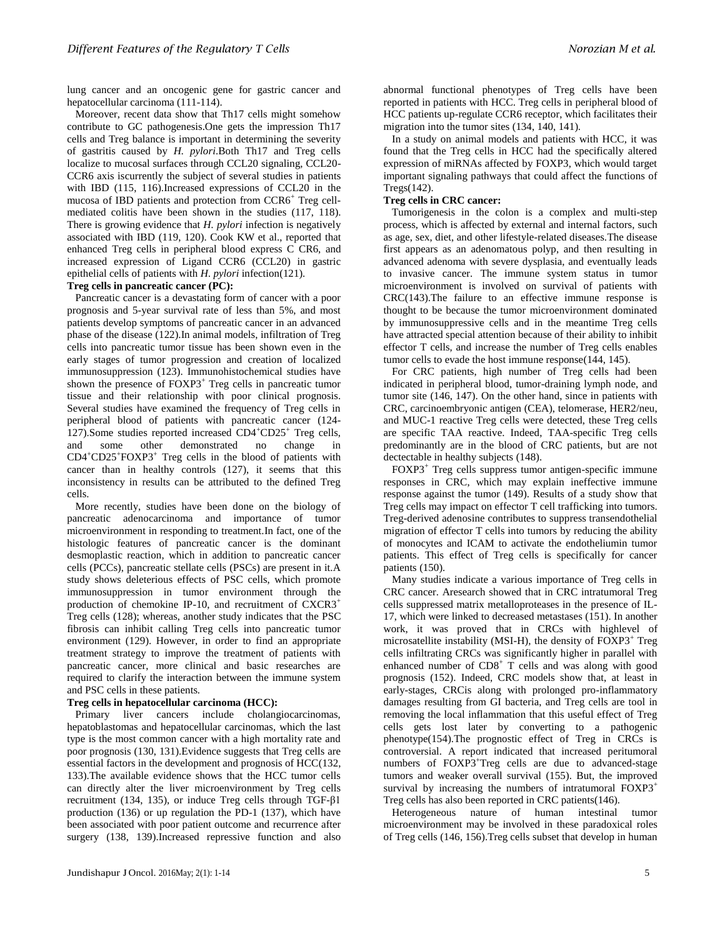lung cancer and an oncogenic gene for gastric cancer and hepatocellular carcinoma [\(111-114\)](#page-8-26).

Moreover, recent data show that Th17 cells might somehow contribute to GC pathogenesis.One gets the impression Th17 cells and Treg balance is important in determining the severity of gastritis caused by *H. pylori*.Both Th17 and Treg cells localize to mucosal surfaces through CCL20 signaling, CCL20- CCR6 axis iscurrently the subject of several studies in patients with IBD [\(115,](#page-8-27) [116\)](#page-8-28).Increased expressions of CCL20 in the mucosa of IBD patients and protection from CCR6<sup>+</sup> Treg cellmediated colitis have been shown in the studies [\(117,](#page-8-29) [118\)](#page-8-30). There is growing evidence that *H. pylori* infection is negatively associated with IBD [\(119,](#page-8-31) [120\)](#page-8-32). Cook KW et al., reported that enhanced Treg cells in peripheral blood express C CR6, and increased expression of Ligand CCR6 (CCL20) in gastric epithelial cells of patients with *H. pylori* infection[\(121\)](#page-8-33).

## **Treg cells in pancreatic cancer (PC):**

Pancreatic cancer is a devastating form of cancer with a poor prognosis and 5-year survival rate of less than 5%, and most patients develop symptoms of pancreatic cancer in an advanced phase of the disease [\(122\)](#page-8-34).In animal models, infiltration of Treg cells into pancreatic tumor tissue has been shown even in the early stages of tumor progression and creation of localized immunosuppression [\(123\)](#page-8-35). Immunohistochemical studies have shown the presence of FOXP3<sup>+</sup> Treg cells in pancreatic tumor tissue and their relationship with poor clinical prognosis. Several studies have examined the frequency of Treg cells in peripheral blood of patients with pancreatic cancer [\(124-](#page-8-36) [127\)](#page-8-36).Some studies reported increased CD4<sup>+</sup>CD25<sup>+</sup> Treg cells, and some other demonstrated no change in CD4<sup>+</sup>CD25<sup>+</sup> FOXP3<sup>+</sup> Treg cells in the blood of patients with cancer than in healthy controls [\(127\)](#page-9-0), it seems that this inconsistency in results can be attributed to the defined Treg cells.

More recently, studies have been done on the biology of pancreatic adenocarcinoma and importance of tumor microenvironment in responding to treatment.In fact, one of the histologic features of pancreatic cancer is the dominant desmoplastic reaction, which in addition to pancreatic cancer cells (PCCs), pancreatic stellate cells (PSCs) are present in it.A study shows deleterious effects of PSC cells, which promote immunosuppression in tumor environment through the production of chemokine IP-10, and recruitment of CXCR3<sup>+</sup> Treg cells [\(128\)](#page-9-1); whereas, another study indicates that the PSC fibrosis can inhibit calling Treg cells into pancreatic tumor environment [\(129\)](#page-9-2). However, in order to find an appropriate treatment strategy to improve the treatment of patients with pancreatic cancer, more clinical and basic researches are required to clarify the interaction between the immune system and PSC cells in these patients.

## **Treg cells in hepatocellular carcinoma (HCC):**

Primary liver cancers include cholangiocarcinomas, hepatoblastomas and hepatocellular carcinomas, which the last type is the most common cancer with a high mortality rate and poor prognosis [\(130,](#page-9-3) [131\)](#page-9-4).Evidence suggests that Treg cells are essential factors in the development and prognosis of HCC[\(132,](#page-9-5) [133\)](#page-9-6).The available evidence shows that the HCC tumor cells can directly alter the liver microenvironment by Treg cells recruitment [\(134,](#page-9-7) [135\)](#page-9-8), or induce Treg cells through TGF-β1 production [\(136\)](#page-9-9) or up regulation the PD-1 [\(137\)](#page-9-10), which have been associated with poor patient outcome and recurrence after surgery [\(138,](#page-9-11) [139\)](#page-9-12).Increased repressive function and also abnormal functional phenotypes of Treg cells have been reported in patients with HCC. Treg cells in peripheral blood of HCC patients up-regulate CCR6 receptor, which facilitates their migration into the tumor sites [\(134,](#page-9-7) [140,](#page-9-13) [141\)](#page-9-14).

In a study on animal models and patients with HCC, it was found that the Treg cells in HCC had the specifically altered expression of miRNAs affected by FOXP3, which would target important signaling pathways that could affect the functions of Tregs[\(142\)](#page-9-15).

## **Treg cells in CRC cancer:**

Tumorigenesis in the colon is a complex and multi-step process, which is affected by external and internal factors, such as age, sex, diet, and other lifestyle-related diseases.The disease first appears as an adenomatous polyp, and then resulting in advanced adenoma with severe dysplasia, and eventually leads to invasive cancer. The immune system status in tumor microenvironment is involved on survival of patients with CRC[\(143\)](#page-9-16).The failure to an effective immune response is thought to be because the tumor microenvironment dominated by immunosuppressive cells and in the meantime Treg cells have attracted special attention because of their ability to inhibit effector T cells, and increase the number of Treg cells enables tumor cells to evade the host immune response[\(144,](#page-9-17) [145\)](#page-9-18).

For CRC patients, high number of Treg cells had been indicated in peripheral blood, tumor-draining lymph node, and tumor site [\(146,](#page-9-19) [147\)](#page-9-20). On the other hand, since in patients with CRC, carcinoembryonic antigen (CEA), telomerase, HER2/neu, and MUC-1 reactive Treg cells were detected, these Treg cells are specific TAA reactive. Indeed, TAA-specific Treg cells predominantly are in the blood of CRC patients, but are not dectectable in healthy subjects [\(148\)](#page-9-21).

FOXP3<sup>+</sup> Treg cells suppress tumor antigen-specific immune responses in CRC, which may explain ineffective immune response against the tumor [\(149\)](#page-9-22). Results of a study show that Treg cells may impact on effector T cell trafficking into tumors. Treg-derived adenosine contributes to suppress transendothelial migration of effector T cells into tumors by reducing the ability of monocytes and ICAM to activate the endotheliumin tumor patients. This effect of Treg cells is specifically for cancer patients [\(150\)](#page-9-23).

Many studies indicate a various importance of Treg cells in CRC cancer. Aresearch showed that in CRC intratumoral Treg cells suppressed matrix metalloproteases in the presence of IL-17, which were linked to decreased metastases [\(151\)](#page-9-24). In another work, it was proved that in CRCs with highlevel of microsatellite instability (MSI-H), the density of FOXP3<sup>+</sup> Treg cells infiltrating CRCs was significantly higher in parallel with enhanced number of  $CD8<sup>+</sup>$  T cells and was along with good prognosis [\(152\)](#page-9-25). Indeed, CRC models show that, at least in early-stages, CRCis along with prolonged pro-inflammatory damages resulting from GI bacteria, and Treg cells are tool in removing the local inflammation that this useful effect of Treg cells gets lost later by converting to a pathogenic phenotype[\(154\)](#page-9-26).The prognostic effect of Treg in CRCs is controversial. A report indicated that increased peritumoral numbers of FOXP3<sup>+</sup>Treg cells are due to advanced-stage tumors and weaker overall survival [\(155\)](#page-9-27). But, the improved survival by increasing the numbers of intratumoral FOXP3<sup>+</sup> Treg cells has also been reported in CRC patients[\(146\)](#page-9-19).

Heterogeneous nature of human intestinal tumor microenvironment may be involved in these paradoxical roles of Treg cells [\(146,](#page-9-19) [156\)](#page-9-28).Treg cells subset that develop in human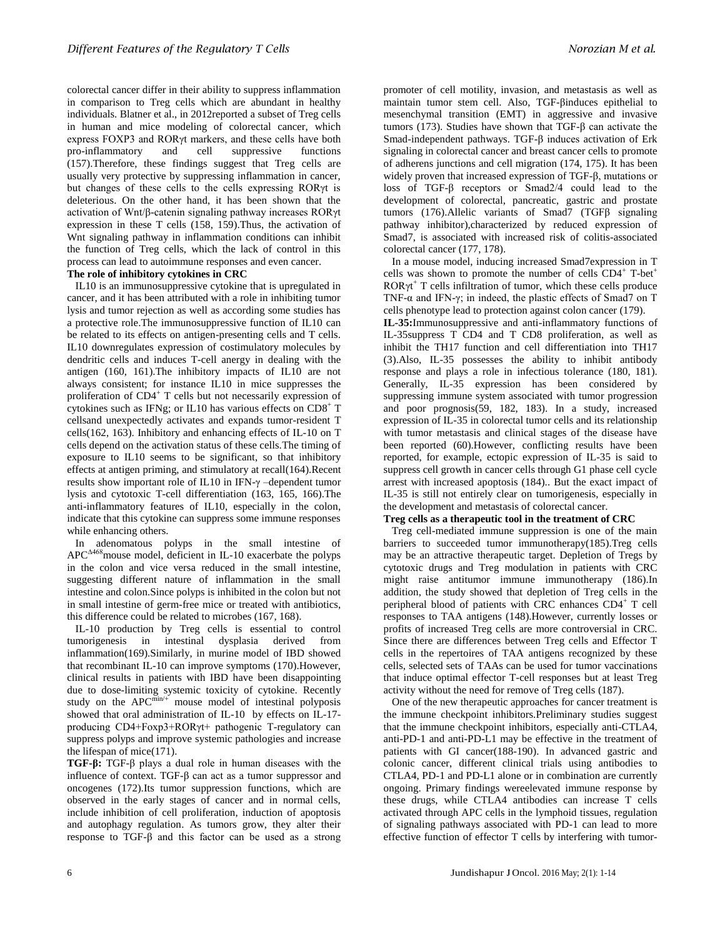colorectal cancer differ in their ability to suppress inflammation in comparison to Treg cells which are abundant in healthy individuals. Blatner et al., in 2012reported a subset of Treg cells in human and mice modeling of colorectal cancer, which express FOXP3 and RORγt markers, and these cells have both pro-inflammatory and cell suppressive functions pro-inflammatory and cell suppressive functions [\(157\)](#page-9-29).Therefore, these findings suggest that Treg cells are usually very protective by suppressing inflammation in cancer, but changes of these cells to the cells expressing RORγt is deleterious. On the other hand, it has been shown that the activation of Wnt/β-catenin signaling pathway increases RORγt expression in these T cells [\(158,](#page-9-30) [159\)](#page-9-31).Thus, the activation of Wnt signaling pathway in inflammation conditions can inhibit the function of Treg cells, which the lack of control in this

## process can lead to autoimmune responses and even cancer. **The role of inhibitory cytokines in CRC**

IL10 is an immunosuppressive cytokine that is upregulated in cancer, and it has been attributed with a role in inhibiting tumor lysis and tumor rejection as well as according some studies has a protective role.The immunosuppressive function of IL10 can be related to its effects on antigen-presenting cells and T cells. IL10 downregulates expression of costimulatory molecules by dendritic cells and induces T-cell anergy in dealing with the antigen [\(160,](#page-9-32) [161\)](#page-9-33).The inhibitory impacts of IL10 are not always consistent; for instance IL10 in mice suppresses the proliferation of  $CD4^+$  T cells but not necessarily expression of cytokines such as IFNg; or IL10 has various effects on CD8<sup>+</sup> T cellsand unexpectedly activates and expands tumor-resident T cells[\(162,](#page-9-34) [163\)](#page-9-35). Inhibitory and enhancing effects of IL-10 on T cells depend on the activation status of these cells.The timing of exposure to IL10 seems to be significant, so that inhibitory effects at antigen priming, and stimulatory at recall[\(164\)](#page-9-36).Recent results show important role of IL10 in IFN-γ –dependent tumor lysis and cytotoxic T-cell differentiation [\(163,](#page-9-35) [165,](#page-9-37) [166\)](#page-9-38).The anti-inflammatory features of IL10, especially in the colon, indicate that this cytokine can suppress some immune responses while enhancing others.

In adenomatous polyps in the small intestine of APC<sup>Δ468</sup>mouse model, deficient in IL-10 exacerbate the polyps in the colon and vice versa reduced in the small intestine, suggesting different nature of inflammation in the small intestine and colon.Since polyps is inhibited in the colon but not in small intestine of germ-free mice or treated with antibiotics, this difference could be related to microbes [\(167,](#page-9-39) [168\)](#page-9-40).

IL-10 production by Treg cells is essential to control tumorigenesis in intestinal dysplasia derived from inflammation[\(169\)](#page-9-41).Similarly, in murine model of IBD showed that recombinant IL-10 can improve symptoms [\(170\)](#page-9-42).However, clinical results in patients with IBD have been disappointing due to dose-limiting systemic toxicity of cytokine. Recently study on the APC<sup>min/+</sup> mouse model of intestinal polyposis showed that oral administration of IL-10 by effects on IL-17 producing CD4+Foxp3+RORγt+ pathogenic T-regulatory can suppress polyps and improve systemic pathologies and increase the lifespan of mice[\(171\)](#page-10-0).

**TGF-β:** TGF-β plays a dual role in human diseases with the influence of context. TGF-β can act as a tumor suppressor and oncogenes [\(172\)](#page-10-1).Its tumor suppression functions, which are observed in the early stages of cancer and in normal cells, include inhibition of cell proliferation, induction of apoptosis and autophagy regulation. As tumors grow, they alter their response to TGF-β and this factor can be used as a strong

promoter of cell motility, invasion, and metastasis as well as maintain tumor stem cell. Also, TGF-βinduces epithelial to mesenchymal transition (EMT) in aggressive and invasive tumors [\(173\)](#page-10-2). Studies have shown that TGF-β can activate the Smad-independent pathways. TGF-β induces activation of Erk signaling in colorectal cancer and breast cancer cells to promote of adherens junctions and cell migration [\(174,](#page-10-3) [175\)](#page-10-4). It has been widely proven that increased expression of TGF-β, mutations or loss of TGF-β receptors or Smad2/4 could lead to the development of colorectal, pancreatic, gastric and prostate tumors [\(176\)](#page-10-5).Allelic variants of Smad7 (TGFβ signaling pathway inhibitor),characterized by reduced expression of Smad7, is associated with increased risk of colitis-associated colorectal cancer [\(177,](#page-10-6) [178\)](#page-10-7).

In a mouse model, inducing increased Smad7expression in T cells was shown to promote the number of cells  $CD4^+$  T-bet<sup>+</sup> ROR $\gamma t^+$  T cells infiltration of tumor, which these cells produce TNF-α and IFN-γ; in indeed, the plastic effects of Smad7 on T cells phenotype lead to protection against colon cancer [\(179\)](#page-10-8).

**IL-35:**Immunosuppressive and anti-inflammatory functions of IL-35suppress T CD4 and T CD8 proliferation, as well as inhibit the TH17 function and cell differentiation into TH17 [\(3\)](#page-6-2).Also, IL-35 possesses the ability to inhibit antibody response and plays a role in infectious tolerance [\(180,](#page-10-9) [181\)](#page-10-10). Generally, IL-35 expression has been considered by suppressing immune system associated with tumor progression and poor prognosis[\(59,](#page-7-44) [182,](#page-10-11) [183\)](#page-10-12). In a study, increased expression of IL-35 in colorectal tumor cells and its relationship with tumor metastasis and clinical stages of the disease have been reported [\(60\)](#page-7-45).However, conflicting results have been reported, for example, ectopic expression of IL-35 is said to suppress cell growth in cancer cells through G1 phase cell cycle arrest with increased apoptosis [\(184\)](#page-10-13).. But the exact impact of IL-35 is still not entirely clear on tumorigenesis, especially in the development and metastasis of colorectal cancer.

## **Treg cells as a therapeutic tool in the treatment of CRC**

Treg cell-mediated immune suppression is one of the main barriers to succeeded tumor immunotherapy[\(185\)](#page-10-14).Treg cells may be an attractive therapeutic target. Depletion of Tregs by cytotoxic drugs and Treg modulation in patients with CRC might raise antitumor immune immunotherapy [\(186\)](#page-10-15).In addition, the study showed that depletion of Treg cells in the peripheral blood of patients with CRC enhances CD4<sup>+</sup> T cell responses to TAA antigens [\(148\)](#page-9-21).However, currently losses or profits of increased Treg cells are more controversial in CRC. Since there are differences between Treg cells and Effector T cells in the repertoires of TAA antigens recognized by these cells, selected sets of TAAs can be used for tumor vaccinations that induce optimal effector T-cell responses but at least Treg activity without the need for remove of Treg cells [\(187\)](#page-10-16).

One of the new therapeutic approaches for cancer treatment is the immune checkpoint inhibitors.Preliminary studies suggest that the immune checkpoint inhibitors, especially anti-CTLA4, anti-PD-1 and anti-PD-L1 may be effective in the treatment of patients with GI cancer[\(188-190\)](#page-10-17). In advanced gastric and colonic cancer, different clinical trials using antibodies to CTLA4, PD-1 and PD-L1 alone or in combination are currently ongoing. Primary findings wereelevated immune response by these drugs, while CTLA4 antibodies can increase T cells activated through APC cells in the lymphoid tissues, regulation of signaling pathways associated with PD-1 can lead to more effective function of effector T cells by interfering with tumor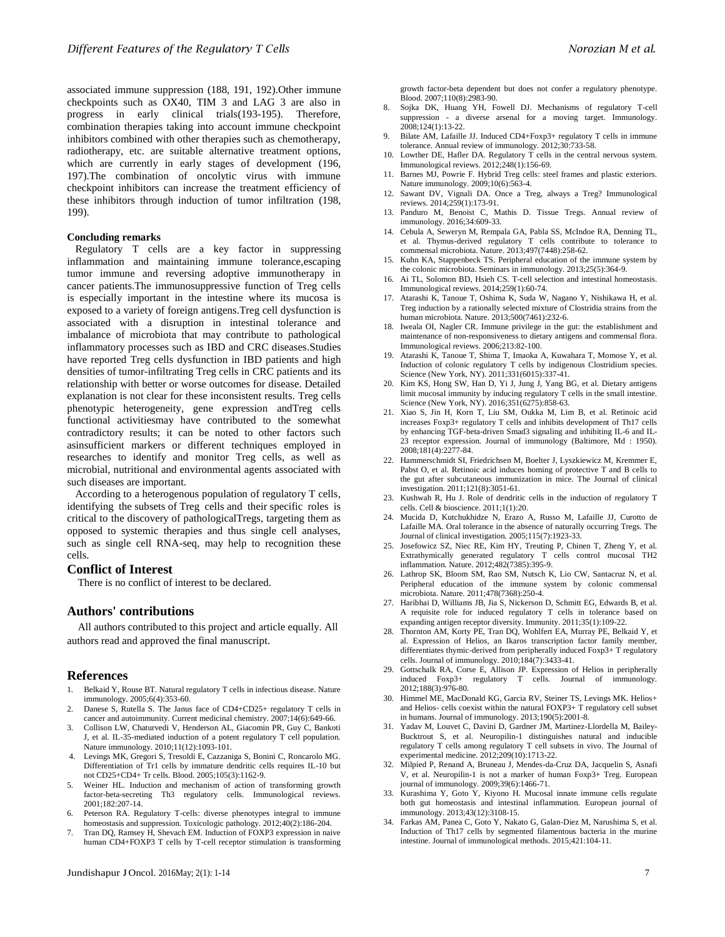associated immune suppression [\(188,](#page-10-17) [191,](#page-10-18) [192\)](#page-10-19).Other immune checkpoints such as OX40, TIM 3 and LAG 3 are also in progress in early clinical trials[\(193-195\)](#page-10-20). Therefore, combination therapies taking into account immune checkpoint inhibitors combined with other therapies such as chemotherapy, radiotherapy, etc. are suitable alternative treatment options, which are currently in early stages of development [\(196,](#page-10-21) [197\)](#page-10-22).The combination of oncolytic virus with immune checkpoint inhibitors can increase the treatment efficiency of these inhibitors through induction of tumor infiltration [\(198,](#page-10-23) [199\)](#page-10-24).

#### **Concluding remarks**

Regulatory T cells are a key factor in suppressing inflammation and maintaining immune tolerance,escaping tumor immune and reversing adoptive immunotherapy in cancer patients.The immunosuppressive function of Treg cells is especially important in the intestine where its mucosa is exposed to a variety of foreign antigens.Treg cell dysfunction is associated with a disruption in intestinal tolerance and imbalance of microbiota that may contribute to pathological inflammatory processes such as IBD and CRC diseases.Studies have reported Treg cells dysfunction in IBD patients and high densities of tumor-infiltrating Treg cells in CRC patients and its relationship with better or worse outcomes for disease. Detailed explanation is not clear for these inconsistent results. Treg cells phenotypic heterogeneity, gene expression andTreg cells functional activitiesmay have contributed to the somewhat contradictory results; it can be noted to other factors such asinsufficient markers or different techniques employed in researches to identify and monitor Treg cells, as well as microbial, nutritional and environmental agents associated with such diseases are important*.*

According to a heterogenous population of regulatory T cells, identifying the subsets of Treg cells and their specific roles is critical to the discovery of pathologicalTregs, targeting them as opposed to systemic therapies and thus single cell analyses, such as single cell RNA-seq, may help to recognition these cells.

## **Conflict of Interest**

There is no conflict of interest to be declared.

# **Authors' contributions**

 All authors contributed to this project and article equally. All authors read and approved the final manuscript.

## **References**

- <span id="page-6-0"></span>1. Belkaid Y, Rouse BT. Natural regulatory T cells in infectious disease. Nature immunology. 2005;6(4):353-60.
- <span id="page-6-1"></span>2. Danese S, Rutella S. The Janus face of CD4+CD25+ regulatory T cells in cancer and autoimmunity. Current medicinal chemistry. 2007;14(6):649-66.
- <span id="page-6-2"></span>3. Collison LW, Chaturvedi V, Henderson AL, Giacomin PR, Guy C, Bankoti J, et al. IL-35-mediated induction of a potent regulatory T cell population. Nature immunology. 2010;11(12):1093-101.
- 4. Levings MK, Gregori S, Tresoldi E, Cazzaniga S, Bonini C, Roncarolo MG. Differentiation of Tr1 cells by immature dendritic cells requires IL-10 but not CD25+CD4+ Tr cells. Blood. 2005;105(3):1162-9.
- 5. Weiner HL. Induction and mechanism of action of transforming growth factor-beta-secreting Th3 regulatory cells. Immunological reviews. 2001;182:207-14.
- <span id="page-6-3"></span>6. Peterson RA. Regulatory T-cells: diverse phenotypes integral to immune homeostasis and suppression. Toxicologic pathology. 2012;40(2):186-204.
- <span id="page-6-4"></span>7. Tran DQ, Ramsey H, Shevach EM. Induction of FOXP3 expression in naive human CD4+FOXP3 T cells by T-cell receptor stimulation is transforming

growth factor-beta dependent but does not confer a regulatory phenotype. Blood. 2007;110(8):2983-90.

- <span id="page-6-5"></span>8. Sojka DK, Huang YH, Fowell DJ. Mechanisms of regulatory T-cell suppression - a diverse arsenal for a moving target. Immunology. 2008;124(1):13-22.
- <span id="page-6-6"></span>9. Bilate AM, Lafaille JJ. Induced CD4+Foxp3+ regulatory T cells in immune tolerance. Annual review of immunology. 2012;30:733-58.
- <span id="page-6-7"></span>10. Lowther DE, Hafler DA. Regulatory T cells in the central nervous system. Immunological reviews. 2012;248(1):156-69.
- <span id="page-6-8"></span>11. Barnes MJ, Powrie F. Hybrid Treg cells: steel frames and plastic exteriors. Nature immunology. 2009;10(6):563-4.
- <span id="page-6-9"></span>12. Sawant DV, Vignali DA. Once a Treg, always a Treg? Immunological reviews. 2014;259(1):173-91.
- <span id="page-6-10"></span>13. Panduro M, Benoist C, Mathis D. Tissue Tregs. Annual review of immunology. 2016;34:609-33.
- <span id="page-6-11"></span>14. Cebula A, Seweryn M, Rempala GA, Pabla SS, McIndoe RA, Denning TL, et al. Thymus-derived regulatory T cells contribute to tolerance to commensal microbiota. Nature. 2013;497(7448):258-62.
- <span id="page-6-12"></span>15. Kuhn KA, Stappenbeck TS. Peripheral education of the immune system by the colonic microbiota. Seminars in immunology. 2013;25(5):364-9.
- <span id="page-6-14"></span><span id="page-6-13"></span>16. Ai TL, Solomon BD, Hsieh CS. T-cell selection and intestinal homeostasis. Immunological reviews. 2014;259(1):60-74.
- 17. Atarashi K, Tanoue T, Oshima K, Suda W, Nagano Y, Nishikawa H, et al. Treg induction by a rationally selected mixture of Clostridia strains from the human microbiota. Nature. 2013;500(7461):232-6.
- <span id="page-6-15"></span>18. Iweala OI, Nagler CR. Immune privilege in the gut: the establishment and maintenance of non-responsiveness to dietary antigens and commensal flora. Immunological reviews. 2006;213:82-100.
- <span id="page-6-16"></span>19. Atarashi K, Tanoue T, Shima T, Imaoka A, Kuwahara T, Momose Y, et al. Induction of colonic regulatory T cells by indigenous Clostridium species. Science (New York, NY). 2011;331(6015):337-41.
- <span id="page-6-17"></span>20. Kim KS, Hong SW, Han D, Yi J, Jung J, Yang BG, et al. Dietary antigens limit mucosal immunity by inducing regulatory T cells in the small intestine. Science (New York, NY). 2016;351(6275):858-63.
- <span id="page-6-18"></span>21. Xiao S, Jin H, Korn T, Liu SM, Oukka M, Lim B, et al. Retinoic acid increases Foxp3+ regulatory T cells and inhibits development of Th17 cells by enhancing TGF-beta-driven Smad3 signaling and inhibiting IL-6 and IL-23 receptor expression. Journal of immunology (Baltimore, Md : 1950). 2008;181(4):2277-84.
- <span id="page-6-19"></span>22. Hammerschmidt SI, Friedrichsen M, Boelter J, Lyszkiewicz M, Kremmer E, Pabst O, et al. Retinoic acid induces homing of protective T and B cells to the gut after subcutaneous immunization in mice. The Journal of clinical investigation. 2011;121(8):3051-61.
- <span id="page-6-20"></span>23. Kushwah R, Hu J. Role of dendritic cells in the induction of regulatory T cells. Cell & bioscience. 2011;1(1):20.
- <span id="page-6-21"></span>24. Mucida D, Kutchukhidze N, Erazo A, Russo M, Lafaille JJ, Curotto de Lafaille MA. Oral tolerance in the absence of naturally occurring Tregs. The Journal of clinical investigation. 2005;115(7):1923-33.
- <span id="page-6-22"></span>25. Josefowicz SZ, Niec RE, Kim HY, Treuting P, Chinen T, Zheng Y, et al. Extrathymically generated regulatory T cells control mucosal TH2 inflammation. Nature. 2012;482(7385):395-9.
- <span id="page-6-23"></span>26. Lathrop SK, Bloom SM, Rao SM, Nutsch K, Lio CW, Santacruz N, et al. Peripheral education of the immune system by colonic commensal microbiota. Nature. 2011;478(7368):250-4.
- <span id="page-6-24"></span>27. Haribhai D, Williams JB, Jia S, Nickerson D, Schmitt EG, Edwards B, et al. A requisite role for induced regulatory T cells in tolerance based on expanding antigen receptor diversity. Immunity. 2011;35(1):109-22.
- <span id="page-6-25"></span>28. Thornton AM, Korty PE, Tran DQ, Wohlfert EA, Murray PE, Belkaid Y, et al. Expression of Helios, an Ikaros transcription factor family member, differentiates thymic-derived from peripherally induced Foxp3+ T regulatory cells. Journal of immunology. 2010;184(7):3433-41.
- <span id="page-6-26"></span>29. Gottschalk RA, Corse E, Allison JP. Expression of Helios in peripherally induced Foxp3+ regulatory T cells. Journal of immunology. 2012;188(3):976-80.
- <span id="page-6-27"></span>30. Himmel ME, MacDonald KG, Garcia RV, Steiner TS, Levings MK. Helios+ and Helios- cells coexist within the natural FOXP3+ T regulatory cell subset in humans. Journal of immunology. 2013;190(5):2001-8.
- <span id="page-6-28"></span>31. Yadav M, Louvet C, Davini D, Gardner JM, Martinez-Llordella M, Bailey-Bucktrout S, et al. Neuropilin-1 distinguishes natural and inducible regulatory T cells among regulatory T cell subsets in vivo. The Journal of experimental medicine. 2012;209(10):1713-22.
- <span id="page-6-29"></span>32. Milpied P, Renand A, Bruneau J, Mendes-da-Cruz DA, Jacquelin S, Asnafi V, et al. Neuropilin-1 is not a marker of human Foxp3+ Treg. European journal of immunology. 2009;39(6):1466-71.
- <span id="page-6-30"></span>33. Kurashima Y, Goto Y, Kiyono H. Mucosal innate immune cells regulate both gut homeostasis and intestinal inflammation. European journal of immunology. 2013;43(12):3108-15.
- <span id="page-6-31"></span>34. Farkas AM, Panea C, Goto Y, Nakato G, Galan-Diez M, Narushima S, et al. Induction of Th17 cells by segmented filamentous bacteria in the murine intestine. Journal of immunological methods. 2015;421:104-11.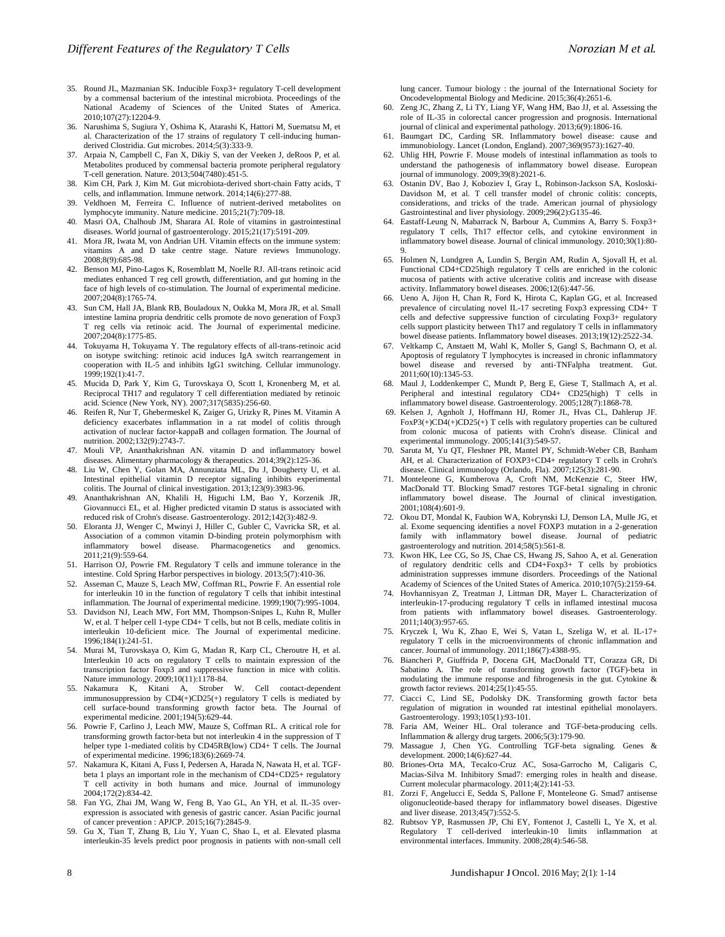- <span id="page-7-0"></span>35. Round JL, Mazmanian SK. Inducible Foxp3+ regulatory T-cell development by a commensal bacterium of the intestinal microbiota. Proceedings of the National Academy of Sciences of the United States of America. 2010;107(27):12204-9.
- <span id="page-7-1"></span>36. Narushima S, Sugiura Y, Oshima K, Atarashi K, Hattori M, Suematsu M, et al. Characterization of the 17 strains of regulatory T cell-inducing humanderived Clostridia. Gut microbes. 2014;5(3):333-9.
- <span id="page-7-2"></span>37. Arpaia N, Campbell C, Fan X, Dikiy S, van der Veeken J, deRoos P, et al. Metabolites produced by commensal bacteria promote peripheral regulatory T-cell generation. Nature. 2013;504(7480):451-5.
- <span id="page-7-3"></span>38. Kim CH, Park J, Kim M. Gut microbiota-derived short-chain Fatty acids, T cells, and inflammation. Immune network. 2014;14(6):277-88.
- <span id="page-7-4"></span>39. Veldhoen M, Ferreira C. Influence of nutrient-derived metabolites on lymphocyte immunity. Nature medicine. 2015;21(7):709-18.
- <span id="page-7-5"></span>40. Masri OA, Chalhoub JM, Sharara AI. Role of vitamins in gastrointestinal diseases. World journal of gastroenterology. 2015;21(17):5191-209.
- <span id="page-7-6"></span>41. Mora JR, Iwata M, von Andrian UH. Vitamin effects on the immune system: vitamins A and D take centre stage. Nature reviews Immunology. 2008;8(9):685-98.
- <span id="page-7-7"></span>42. Benson MJ, Pino-Lagos K, Rosemblatt M, Noelle RJ. All-trans retinoic acid mediates enhanced T reg cell growth, differentiation, and gut homing in the face of high levels of co-stimulation. The Journal of experimental medicine. 2007;204(8):1765-74.
- 43. Sun CM, Hall JA, Blank RB, Bouladoux N, Oukka M, Mora JR, et al. Small intestine lamina propria dendritic cells promote de novo generation of Foxp3 T reg cells via retinoic acid. The Journal of experimental medicine. 2007;204(8):1775-85.
- 44. Tokuyama H, Tokuyama Y. The regulatory effects of all-trans-retinoic acid on isotype switching: retinoic acid induces IgA switch rearrangement in cooperation with IL-5 and inhibits IgG1 switching. Cellular immunology. 1999;192(1):41-7.
- <span id="page-7-8"></span>45. Mucida D, Park Y, Kim G, Turovskaya O, Scott I, Kronenberg M, et al. Reciprocal TH17 and regulatory T cell differentiation mediated by retinoic acid. Science (New York, NY). 2007;317(5835):256-60.
- <span id="page-7-9"></span>46. Reifen R, Nur T, Ghebermeskel K, Zaiger G, Urizky R, Pines M. Vitamin A deficiency exacerbates inflammation in a rat model of colitis through activation of nuclear factor-kappaB and collagen formation. The Journal of nutrition. 2002;132(9):2743-7.
- <span id="page-7-10"></span>47. Mouli VP, Ananthakrishnan AN. vitamin D and inflammatory bowel diseases. Alimentary pharmacology & therapeutics. 2014;39(2):125-36.
- <span id="page-7-11"></span>48. Liu W, Chen Y, Golan MA, Annunziata ML, Du J, Dougherty U, et al. Intestinal epithelial vitamin D receptor signaling inhibits experimental colitis. The Journal of clinical investigation. 2013;123(9):3983-96.
- <span id="page-7-12"></span>49. Ananthakrishnan AN, Khalili H, Higuchi LM, Bao Y, Korzenik JR, Giovannucci EL, et al. Higher predicted vitamin D status is associated with reduced risk of Crohn's disease. Gastroenterology. 2012;142(3):482-9.
- <span id="page-7-13"></span>50. Eloranta JJ, Wenger C, Mwinyi J, Hiller C, Gubler C, Vavricka SR, et al. Association of a common vitamin D-binding protein polymorphism with inflammatory bowel disease. Pharmacogenetics and genomics. 2011;21(9):559-64.
- <span id="page-7-14"></span>51. Harrison OJ, Powrie FM. Regulatory T cells and immune tolerance in the intestine. Cold Spring Harbor perspectives in biology. 2013;5(7):410-36.
- <span id="page-7-15"></span>52. Asseman C, Mauze S, Leach MW, Coffman RL, Powrie F. An essential role for interleukin 10 in the function of regulatory T cells that inhibit intestinal inflammation. The Journal of experimental medicine. 1999;190(7):995-1004.
- <span id="page-7-16"></span>53. Davidson NJ, Leach MW, Fort MM, Thompson-Snipes L, Kuhn R, Muller W, et al. T helper cell 1-type CD4+ T cells, but not B cells, mediate colitis in interleukin 10-deficient mice. The Journal of experimental medicine. 1996;184(1):241-51.
- <span id="page-7-17"></span>54. Murai M, Turovskaya O, Kim G, Madan R, Karp CL, Cheroutre H, et al. Interleukin 10 acts on regulatory T cells to maintain expression of the transcription factor Foxp3 and suppressive function in mice with colitis. Nature immunology. 2009;10(11):1178-84.
- <span id="page-7-18"></span>55. Nakamura K, Kitani A, Strober W. Cell contact-dependent immunosuppression by CD4(+)CD25(+) regulatory T cells is mediated by cell surface-bound transforming growth factor beta. The Journal of experimental medicine. 2001;194(5):629-44.
- <span id="page-7-19"></span>56. Powrie F, Carlino J, Leach MW, Mauze S, Coffman RL. A critical role for transforming growth factor-beta but not interleukin 4 in the suppression of T helper type 1-mediated colitis by CD45RB(low) CD4+ T cells. The Journal of experimental medicine. 1996;183(6):2669-74.
- <span id="page-7-20"></span>57. Nakamura K, Kitani A, Fuss I, Pedersen A, Harada N, Nawata H, et al. TGFbeta 1 plays an important role in the mechanism of CD4+CD25+ regulatory T cell activity in both humans and mice. Journal of immunology 2004;172(2):834-42.
- <span id="page-7-21"></span>58. Fan YG, Zhai JM, Wang W, Feng B, Yao GL, An YH, et al. IL-35 overexpression is associated with genesis of gastric cancer. Asian Pacific journal of cancer prevention : APJCP. 2015;16(7):2845-9.
- <span id="page-7-44"></span>59. Gu X, Tian T, Zhang B, Liu Y, Yuan C, Shao L, et al. Elevated plasma interleukin-35 levels predict poor prognosis in patients with non-small cell

lung cancer. Tumour biology : the journal of the International Society for Oncodevelopmental Biology and Medicine. 2015;36(4):2651-6.

- <span id="page-7-45"></span>60. Zeng JC, Zhang Z, Li TY, Liang YF, Wang HM, Bao JJ, et al. Assessing the role of IL-35 in colorectal cancer progression and prognosis. International journal of clinical and experimental pathology. 2013;6(9):1806-16.
- <span id="page-7-22"></span>61. Baumgart DC, Carding SR. Inflammatory bowel disease: cause and immunobiology. Lancet (London, England). 2007;369(9573):1627-40.
- <span id="page-7-23"></span>62. Uhlig HH, Powrie F. Mouse models of intestinal inflammation as tools to understand the pathogenesis of inflammatory bowel disease. European journal of immunology. 2009;39(8):2021-6.
- <span id="page-7-24"></span>63. Ostanin DV, Bao J, Koboziev I, Gray L, Robinson-Jackson SA, Kosloski-Davidson M, et al. T cell transfer model of chronic colitis: concepts, considerations, and tricks of the trade. American journal of physiology Gastrointestinal and liver physiology. 2009;296(2):G135-46.
- <span id="page-7-25"></span>64. Eastaff-Leung N, Mabarrack N, Barbour A, Cummins A, Barry S. Foxp3+ regulatory T cells, Th17 effector cells, and cytokine environment in inflammatory bowel disease. Journal of clinical immunology. 2010;30(1):80- 9.
- <span id="page-7-26"></span>65. Holmen N, Lundgren A, Lundin S, Bergin AM, Rudin A, Sjovall H, et al. Functional CD4+CD25high regulatory T cells are enriched in the colonic mucosa of patients with active ulcerative colitis and increase with disease activity. Inflammatory bowel diseases. 2006;12(6):447-56.
- <span id="page-7-27"></span>66. Ueno A, Jijon H, Chan R, Ford K, Hirota C, Kaplan GG, et al. Increased prevalence of circulating novel IL-17 secreting Foxp3 expressing CD4+ T cells and defective suppressive function of circulating Foxp3+ regulatory cells support plasticity between Th17 and regulatory T cells in inflammatory bowel disease patients. Inflammatory bowel diseases. 2013;19(12):2522-34.
- <span id="page-7-28"></span>67. Veltkamp C, Anstaett M, Wahl K, Moller S, Gangl S, Bachmann O, et al. Apoptosis of regulatory T lymphocytes is increased in chronic inflammatory bowel disease and reversed by anti-TNFalpha treatment. Gut. 2011;60(10):1345-53.
- <span id="page-7-29"></span>68. Maul J, Loddenkemper C, Mundt P, Berg E, Giese T, Stallmach A, et al. Peripheral and intestinal regulatory CD4+ CD25(high) T cells in inflammatory bowel disease. Gastroenterology. 2005;128(7):1868-78.
- <span id="page-7-30"></span>69. Kelsen J, Agnholt J, Hoffmann HJ, Romer JL, Hvas CL, Dahlerup JF. FoxP3(+)CD4(+)CD25(+) T cells with regulatory properties can be cultured from colonic mucosa of patients with Crohn's disease. Clinical and experimental immunology. 2005;141(3):549-57.
- <span id="page-7-31"></span>70. Saruta M, Yu QT, Fleshner PR, Mantel PY, Schmidt-Weber CB, Banham AH, et al. Characterization of FOXP3+CD4+ regulatory T cells in Crohn's disease. Clinical immunology (Orlando, Fla). 2007;125(3):281-90.
- <span id="page-7-32"></span>71. Monteleone G, Kumberova A, Croft NM, McKenzie C, Steer HW, MacDonald TT. Blocking Smad7 restores TGF-beta1 signaling in chronic inflammatory bowel disease. The Journal of clinical investigation.  $2001 \cdot 108(4) \cdot 601 - 9$
- <span id="page-7-33"></span>72. Okou DT, Mondal K, Faubion WA, Kobrynski LJ, Denson LA, Mulle JG, et al. Exome sequencing identifies a novel FOXP3 mutation in a 2-generation family with inflammatory bowel disease. Journal of pediatric gastroenterology and nutrition. 2014;58(5):561-8.
- <span id="page-7-34"></span>Kwon HK, Lee CG, So JS, Chae CS, Hwang JS, Sahoo A, et al. Generation of regulatory dendritic cells and CD4+Foxp3+ T cells by probiotics administration suppresses immune disorders. Proceedings of the National Academy of Sciences of the United States of America. 2010;107(5):2159-64.
- <span id="page-7-35"></span>74. Hovhannisyan Z, Treatman J, Littman DR, Mayer L. Characterization of interleukin-17-producing regulatory T cells in inflamed intestinal mucosa from patients with inflammatory bowel diseases. Gastroenterology. 2011;140(3):957-65.
- <span id="page-7-36"></span>75. Kryczek I, Wu K, Zhao E, Wei S, Vatan L, Szeliga W, et al. IL-17+ regulatory T cells in the microenvironments of chronic inflammation and cancer. Journal of immunology. 2011;186(7):4388-95.
- <span id="page-7-37"></span>76. Biancheri P, Giuffrida P, Docena GH, MacDonald TT, Corazza GR, Di Sabatino A. The role of transforming growth factor (TGF)-beta in modulating the immune response and fibrogenesis in the gut. Cytokine & growth factor reviews. 2014;25(1):45-55.
- <span id="page-7-38"></span>77. Ciacci C, Lind SE, Podolsky DK. Transforming growth factor beta regulation of migration in wounded rat intestinal epithelial monolayers. Gastroenterology. 1993;105(1):93-101.
- <span id="page-7-39"></span>78. Faria AM, Weiner HL. Oral tolerance and TGF-beta-producing cells. Inflammation & allergy drug targets. 2006;5(3):179-90.
- <span id="page-7-40"></span>79. Massague J, Chen YG. Controlling TGF-beta signaling. Genes & development. 2000;14(6):627-44.
- <span id="page-7-41"></span>80. Briones-Orta MA, Tecalco-Cruz AC, Sosa-Garrocho M, Caligaris C, Macias-Silva M. Inhibitory Smad7: emerging roles in health and disease. Current molecular pharmacology. 2011;4(2):141-53.
- <span id="page-7-42"></span>81. Zorzi F, Angelucci E, Sedda S, Pallone F, Monteleone G. Smad7 antisense oligonucleotide-based therapy for inflammatory bowel diseases. Digestive and liver disease. 2013;45(7):552-5.
- <span id="page-7-43"></span>82. Rubtsov YP, Rasmussen JP, Chi EY, Fontenot J, Castelli L, Ye X, et al. Regulatory T cell-derived interleukin-10 limits inflammation at environmental interfaces. Immunity. 2008;28(4):546-58.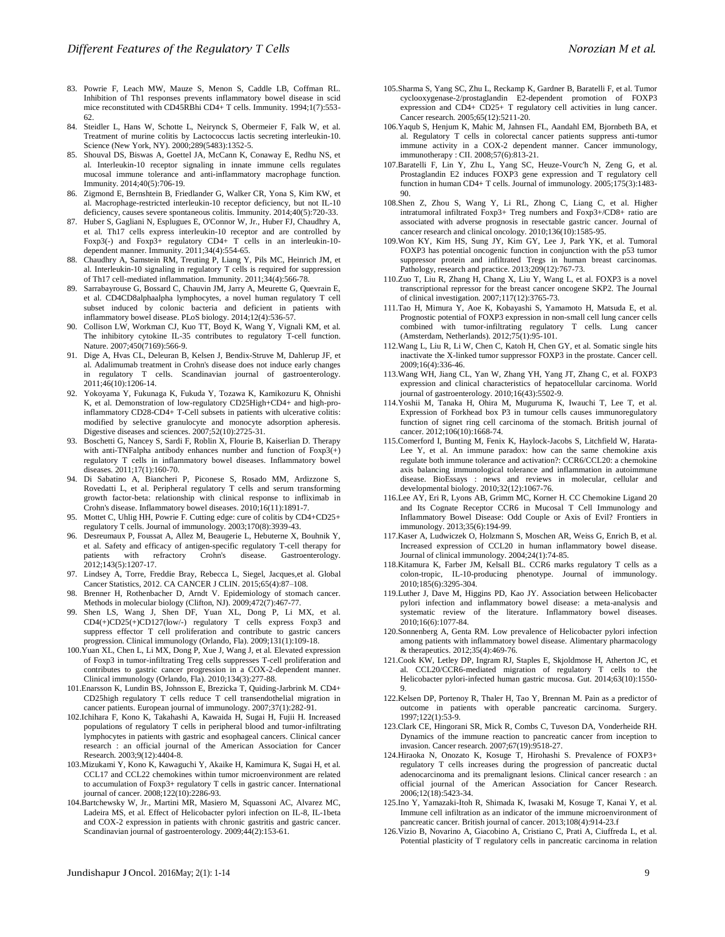- <span id="page-8-0"></span>83. Powrie F, Leach MW, Mauze S, Menon S, Caddle LB, Coffman RL. Inhibition of Th1 responses prevents inflammatory bowel disease in scid mice reconstituted with CD45RBhi CD4+ T cells. Immunity. 1994;1(7):553- 62.
- <span id="page-8-1"></span>84. Steidler L, Hans W, Schotte L, Neirynck S, Obermeier F, Falk W, et al. Treatment of murine colitis by Lactococcus lactis secreting interleukin-10. Science (New York, NY). 2000;289(5483):1352-5.
- <span id="page-8-2"></span>85. Shouval DS, Biswas A, Goettel JA, McCann K, Conaway E, Redhu NS, et al. Interleukin-10 receptor signaling in innate immune cells regulates mucosal immune tolerance and anti-inflammatory macrophage function. Immunity. 2014;40(5):706-19.
- <span id="page-8-3"></span>86. Zigmond E, Bernshtein B, Friedlander G, Walker CR, Yona S, Kim KW, et al. Macrophage-restricted interleukin-10 receptor deficiency, but not IL-10 deficiency, causes severe spontaneous colitis. Immunity. 2014;40(5):720-33.
- <span id="page-8-4"></span>87. Huber S, Gagliani N, Esplugues E, O'Connor W, Jr., Huber FJ, Chaudhry A, et al. Th17 cells express interleukin-10 receptor and are controlled by Foxp3(-) and Foxp3+ regulatory CD4+ T cells in an interleukin-10dependent manner. Immunity. 2011;34(4):554-65.
- <span id="page-8-5"></span>88. Chaudhry A, Samstein RM, Treuting P, Liang Y, Pils MC, Heinrich JM, et al. Interleukin-10 signaling in regulatory T cells is required for suppression of Th17 cell-mediated inflammation. Immunity. 2011;34(4):566-78.
- <span id="page-8-6"></span>89. Sarrabayrouse G, Bossard C, Chauvin JM, Jarry A, Meurette G, Quevrain E, et al. CD4CD8alphaalpha lymphocytes, a novel human regulatory T cell subset induced by colonic bacteria and deficient in patients with inflammatory bowel disease. PLoS biology. 2014;12(4):536-57.
- <span id="page-8-7"></span>90. Collison LW, Workman CJ, Kuo TT, Boyd K, Wang Y, Vignali KM, et al. The inhibitory cytokine IL-35 contributes to regulatory T-cell function. Nature. 2007;450(7169):566-9.
- <span id="page-8-8"></span>91. Dige A, Hvas CL, Deleuran B, Kelsen J, Bendix-Struve M, Dahlerup JF, et al. Adalimumab treatment in Crohn's disease does not induce early changes in regulatory T cells. Scandinavian journal of gastroenterology. 2011;46(10):1206-14.
- <span id="page-8-9"></span>92. Yokoyama Y, Fukunaga K, Fukuda Y, Tozawa K, Kamikozuru K, Ohnishi K, et al. Demonstration of low-regulatory CD25High+CD4+ and high-proinflammatory CD28-CD4+ T-Cell subsets in patients with ulcerative colitis: modified by selective granulocyte and monocyte adsorption apheresis. Digestive diseases and sciences. 2007;52(10):2725-31.
- <span id="page-8-10"></span>93. Boschetti G, Nancey S, Sardi F, Roblin X, Flourie B, Kaiserlian D. Therapy with anti-TNFalpha antibody enhances number and function of  $F(xp3(+)$ regulatory T cells in inflammatory bowel diseases. Inflammatory bowel diseases. 2011;17(1):160-70.
- <span id="page-8-11"></span>94. Di Sabatino A, Biancheri P, Piconese S, Rosado MM, Ardizzone S, Rovedatti L, et al. Peripheral regulatory T cells and serum transforming growth factor-beta: relationship with clinical response to infliximab in Crohn's disease. Inflammatory bowel diseases. 2010;16(11):1891-7.
- <span id="page-8-12"></span>95. Mottet C, Uhlig HH, Powrie F. Cutting edge: cure of colitis by CD4+CD25+ regulatory T cells. Journal of immunology. 2003;170(8):3939-43.
- <span id="page-8-13"></span>96. Desreumaux P, Foussat A, Allez M, Beaugerie L, Hebuterne X, Bouhnik Y, et al. Safety and efficacy of antigen-specific regulatory T-cell therapy for patients with refractory Crohn's disease. Gastroenterology. .<br>2012;143(5):1207-17.
- <span id="page-8-14"></span>97. Lindsey A, Torre, Freddie Bray, Rebecca L, Siegel, Jacques,et al. Global Cancer Statistics, 2012. CA CANCER J CLIN. 2015;65(4):87–108.
- <span id="page-8-15"></span>98. Brenner H, Rothenbacher D, Arndt V. Epidemiology of stomach cancer. Methods in molecular biology (Clifton, NJ). 2009;472(7):467-77.
- <span id="page-8-16"></span>99. Shen LS, Wang J, Shen DF, Yuan XL, Dong P, Li MX, et al.  $CD4(+)CD25(+)CD127(low)$  regulatory T cells express Foxp3 and suppress effector T cell proliferation and contribute to gastric cancers progression. Clinical immunology (Orlando, Fla). 2009;131(1):109-18.
- <span id="page-8-17"></span>100.Yuan XL, Chen L, Li MX, Dong P, Xue J, Wang J, et al. Elevated expression of Foxp3 in tumor-infiltrating Treg cells suppresses T-cell proliferation and contributes to gastric cancer progression in a COX-2-dependent manner. Clinical immunology (Orlando, Fla). 2010;134(3):277-88.
- 101.Enarsson K, Lundin BS, Johnsson E, Brezicka T, Quiding-Jarbrink M. CD4+ CD25high regulatory T cells reduce T cell transendothelial migration in cancer patients. European journal of immunology. 2007;37(1):282-91.
- <span id="page-8-19"></span>102.Ichihara F, Kono K, Takahashi A, Kawaida H, Sugai H, Fujii H. Increased populations of regulatory T cells in peripheral blood and tumor-infiltrating lymphocytes in patients with gastric and esophageal cancers. Clinical cancer research : an official journal of the American Association for Cancer Research. 2003;9(12):4404-8.
- <span id="page-8-20"></span>103.Mizukami Y, Kono K, Kawaguchi Y, Akaike H, Kamimura K, Sugai H, et al. CCL17 and CCL22 chemokines within tumor microenvironment are related to accumulation of Foxp3+ regulatory T cells in gastric cancer. International journal of cancer. 2008;122(10):2286-93.
- <span id="page-8-21"></span>104.Bartchewsky W, Jr., Martini MR, Masiero M, Squassoni AC, Alvarez MC, Ladeira MS, et al. Effect of Helicobacter pylori infection on IL-8, IL-1beta and COX-2 expression in patients with chronic gastritis and gastric cancer. Scandinavian journal of gastroenterology. 2009;44(2):153-61.
- 105.Sharma S, Yang SC, Zhu L, Reckamp K, Gardner B, Baratelli F, et al. Tumor cyclooxygenase-2/prostaglandin E2-dependent promotion of FOXP3 expression and CD4+ CD25+ T regulatory cell activities in lung cancer. Cancer research. 2005;65(12):5211-20.
- 106.Yaqub S, Henjum K, Mahic M, Jahnsen FL, Aandahl EM, Bjornbeth BA, et al. Regulatory T cells in colorectal cancer patients suppress anti-tumor immune activity in a COX-2 dependent manner. Cancer immunology, immunotherapy : CII. 2008;57(6):813-21.
- <span id="page-8-22"></span>107.Baratelli F, Lin Y, Zhu L, Yang SC, Heuze-Vourc'h N, Zeng G, et al. Prostaglandin E2 induces FOXP3 gene expression and T regulatory cell function in human CD4+ T cells. Journal of immunology. 2005;175(3):1483- 90.
- <span id="page-8-23"></span>108.Shen Z, Zhou S, Wang Y, Li RL, Zhong C, Liang C, et al. Higher intratumoral infiltrated Foxp3+ Treg numbers and Foxp3+/CD8+ ratio are associated with adverse prognosis in resectable gastric cancer. Journal of cancer research and clinical oncology. 2010;136(10):1585-95.
- <span id="page-8-24"></span>109.Won KY, Kim HS, Sung JY, Kim GY, Lee J, Park YK, et al. Tumoral FOXP3 has potential oncogenic function in conjunction with the p53 tumor suppressor protein and infiltrated Tregs in human breast carcinomas. Pathology, research and practice. 2013;209(12):767-73.
- <span id="page-8-25"></span>110.Zuo T, Liu R, Zhang H, Chang X, Liu Y, Wang L, et al. FOXP3 is a novel transcriptional repressor for the breast cancer oncogene SKP2. The Journal of clinical investigation. 2007;117(12):3765-73.
- <span id="page-8-26"></span>111.Tao H, Mimura Y, Aoe K, Kobayashi S, Yamamoto H, Matsuda E, et al. Prognostic potential of FOXP3 expression in non-small cell lung cancer cells combined with tumor-infiltrating regulatory T cells. Lung cancer (Amsterdam, Netherlands). 2012;75(1):95-101.
- 112.Wang L, Liu R, Li W, Chen C, Katoh H, Chen GY, et al. Somatic single hits inactivate the X-linked tumor suppressor FOXP3 in the prostate. Cancer cell. 2009;16(4):336-46.
- 113.Wang WH, Jiang CL, Yan W, Zhang YH, Yang JT, Zhang C, et al. FOXP3 expression and clinical characteristics of hepatocellular carcinoma. World journal of gastroenterology. 2010;16(43):5502-9.
- 114.Yoshii M, Tanaka H, Ohira M, Muguruma K, Iwauchi T, Lee T, et al. Expression of Forkhead box P3 in tumour cells causes immunoregulatory function of signet ring cell carcinoma of the stomach. British journal of cancer. 2012;106(10):1668-74.
- <span id="page-8-27"></span>115.Comerford I, Bunting M, Fenix K, Haylock-Jacobs S, Litchfield W, Harata-Lee Y, et al. An immune paradox: how can the same chemokine axis regulate both immune tolerance and activation?: CCR6/CCL20: a chemokine axis balancing immunological tolerance and inflammation in autoimmune disease. BioEssays : news and reviews in molecular, cellular and developmental biology. 2010;32(12):1067-76.
- <span id="page-8-28"></span>116.Lee AY, Eri R, Lyons AB, Grimm MC, Korner H. CC Chemokine Ligand 20 and Its Cognate Receptor CCR6 in Mucosal T Cell Immunology and Inflammatory Bowel Disease: Odd Couple or Axis of Evil? Frontiers in immunology. 2013;35(6):194-99.
- <span id="page-8-29"></span>117.Kaser A, Ludwiczek O, Holzmann S, Moschen AR, Weiss G, Enrich B, et al. Increased expression of CCL20 in human inflammatory bowel disease. Journal of clinical immunology. 2004;24(1):74-85.
- <span id="page-8-30"></span>118.Kitamura K, Farber JM, Kelsall BL. CCR6 marks regulatory T cells as a colon-tropic, IL-10-producing phenotype. Journal of immunology. 2010;185(6):3295-304.
- <span id="page-8-31"></span>119.Luther J, Dave M, Higgins PD, Kao JY. Association between Helicobacter pylori infection and inflammatory bowel disease: a meta-analysis and systematic review of the literature. Inflammatory bowel diseases. 2010;16(6):1077-84.
- <span id="page-8-32"></span>120.Sonnenberg A, Genta RM. Low prevalence of Helicobacter pylori infection among patients with inflammatory bowel disease. Alimentary pharmacology & therapeutics. 2012;35(4):469-76.
- <span id="page-8-33"></span><span id="page-8-18"></span>121.Cook KW, Letley DP, Ingram RJ, Staples E, Skjoldmose H, Atherton JC, et al. CCL20/CCR6-mediated migration of regulatory T cells to the Helicobacter pylori-infected human gastric mucosa. Gut. 2014;63(10):1550- 9.
- <span id="page-8-34"></span>122.Kelsen DP, Portenoy R, Thaler H, Tao Y, Brennan M. Pain as a predictor of outcome in patients with operable pancreatic carcinoma. Surgery. 1997;122(1):53-9.
- <span id="page-8-35"></span>123.Clark CE, Hingorani SR, Mick R, Combs C, Tuveson DA, Vonderheide RH. Dynamics of the immune reaction to pancreatic cancer from inception to invasion. Cancer research. 2007;67(19):9518-27.
- <span id="page-8-36"></span>124.Hiraoka N, Onozato K, Kosuge T, Hirohashi S. Prevalence of FOXP3+ regulatory T cells increases during the progression of pancreatic ductal adenocarcinoma and its premalignant lesions. Clinical cancer research : an official journal of the American Association for Cancer Research. 2006;12(18):5423-34.
- 125.Ino Y, Yamazaki-Itoh R, Shimada K, Iwasaki M, Kosuge T, Kanai Y, et al. Immune cell infiltration as an indicator of the immune microenvironment of pancreatic cancer. British journal of cancer. 2013;108(4):914-23.f
- 126.Vizio B, Novarino A, Giacobino A, Cristiano C, Prati A, Ciuffreda L, et al. Potential plasticity of T regulatory cells in pancreatic carcinoma in relation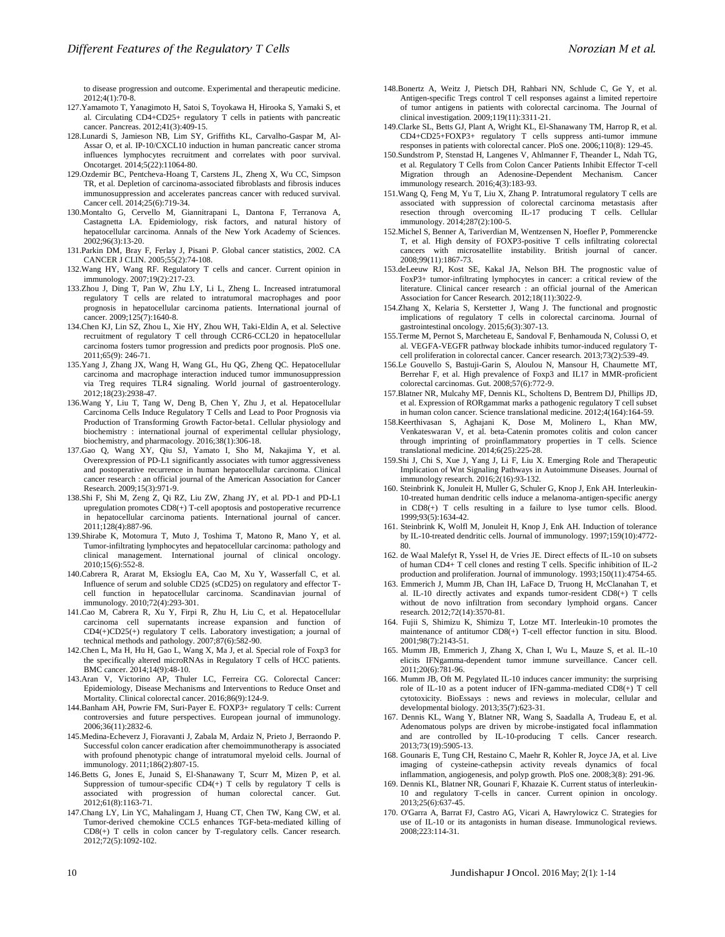to disease progression and outcome. Experimental and therapeutic medicine. 2012;4(1):70-8.

- <span id="page-9-0"></span>127.Yamamoto T, Yanagimoto H, Satoi S, Toyokawa H, Hirooka S, Yamaki S, et al. Circulating CD4+CD25+ regulatory T cells in patients with pancreatic cancer. Pancreas. 2012;41(3):409-15.
- <span id="page-9-1"></span>128.Lunardi S, Jamieson NB, Lim SY, Griffiths KL, Carvalho-Gaspar M, Al-Assar O, et al. IP-10/CXCL10 induction in human pancreatic cancer stroma influences lymphocytes recruitment and correlates with poor survival. Oncotarget. 2014;5(22):11064-80.
- <span id="page-9-2"></span>129.Ozdemir BC, Pentcheva-Hoang T, Carstens JL, Zheng X, Wu CC, Simpson TR, et al. Depletion of carcinoma-associated fibroblasts and fibrosis induces immunosuppression and accelerates pancreas cancer with reduced survival. Cancer cell. 2014;25(6):719-34.
- <span id="page-9-3"></span>130.Montalto G, Cervello M, Giannitrapani L, Dantona F, Terranova A, Castagnetta LA. Epidemiology, risk factors, and natural history of hepatocellular carcinoma. Annals of the New York Academy of Sciences. 2002;96(3):13-20.
- <span id="page-9-4"></span>131.Parkin DM, Bray F, Ferlay J, Pisani P. Global cancer statistics, 2002. CA CANCER J CLIN. 2005;55(2):74-108.
- <span id="page-9-5"></span>132.Wang HY, Wang RF. Regulatory T cells and cancer. Current opinion in immunology. 2007;19(2):217-23.
- <span id="page-9-6"></span>133.Zhou J, Ding T, Pan W, Zhu LY, Li L, Zheng L. Increased intratumoral regulatory T cells are related to intratumoral macrophages and poor prognosis in hepatocellular carcinoma patients. International journal of cancer. 2009;125(7):1640-8.
- <span id="page-9-7"></span>134.Chen KJ, Lin SZ, Zhou L, Xie HY, Zhou WH, Taki-Eldin A, et al. Selective recruitment of regulatory T cell through CCR6-CCL20 in hepatocellular carcinoma fosters tumor progression and predicts poor prognosis. PloS one. 2011;65(9): 246-71.
- <span id="page-9-8"></span>135.Yang J, Zhang JX, Wang H, Wang GL, Hu QG, Zheng QC. Hepatocellular carcinoma and macrophage interaction induced tumor immunosuppression via Treg requires TLR4 signaling. World journal of gastroenterology. 2012;18(23):2938-47.
- <span id="page-9-9"></span>136.Wang Y, Liu T, Tang W, Deng B, Chen Y, Zhu J, et al. Hepatocellular Carcinoma Cells Induce Regulatory T Cells and Lead to Poor Prognosis via Production of Transforming Growth Factor-beta1. Cellular physiology and biochemistry : international journal of experimental cellular physiology, biochemistry, and pharmacology. 2016;38(1):306-18.
- <span id="page-9-10"></span>137.Gao Q, Wang XY, Qiu SJ, Yamato I, Sho M, Nakajima Y, et al. Overexpression of PD-L1 significantly associates with tumor aggressiveness and postoperative recurrence in human hepatocellular carcinoma. Clinical cancer research : an official journal of the American Association for Cancer Research. 2009;15(3):971-9.
- <span id="page-9-11"></span>138.Shi F, Shi M, Zeng Z, Qi RZ, Liu ZW, Zhang JY, et al. PD-1 and PD-L1 upregulation promotes CD8(+) T-cell apoptosis and postoperative recurrence in hepatocellular carcinoma patients. International journal of cancer. 2011;128(4):887-96.
- <span id="page-9-12"></span>139.Shirabe K, Motomura T, Muto J, Toshima T, Matono R, Mano Y, et al. Tumor-infiltrating lymphocytes and hepatocellular carcinoma: pathology and clinical management. International journal of clinical oncology. 2010;15(6):552-8.
- <span id="page-9-13"></span>140.Cabrera R, Ararat M, Eksioglu EA, Cao M, Xu Y, Wasserfall C, et al. Influence of serum and soluble CD25 (sCD25) on regulatory and effector Tcell function in hepatocellular carcinoma. Scandinavian journal of immunology. 2010;72(4):293-301.
- <span id="page-9-14"></span>141.Cao M, Cabrera R, Xu Y, Firpi R, Zhu H, Liu C, et al. Hepatocellular carcinoma cell supernatants increase expansion and function of CD4(+)CD25(+) regulatory T cells. Laboratory investigation; a journal of technical methods and pathology. 2007;87(6):582-90.
- <span id="page-9-15"></span>142.Chen L, Ma H, Hu H, Gao L, Wang X, Ma J, et al. Special role of Foxp3 for the specifically altered microRNAs in Regulatory T cells of HCC patients. BMC cancer. 2014;14(9):48-10.
- <span id="page-9-16"></span>143.Aran V, Victorino AP, Thuler LC, Ferreira CG. Colorectal Cancer: Epidemiology, Disease Mechanisms and Interventions to Reduce Onset and Mortality. Clinical colorectal cancer. 2016;86(9):124-9.
- <span id="page-9-17"></span>144.Banham AH, Powrie FM, Suri-Payer E. FOXP3+ regulatory T cells: Current controversies and future perspectives. European journal of immunology. 2006;36(11):2832-6.
- <span id="page-9-18"></span>145.Medina-Echeverz J, Fioravanti J, Zabala M, Ardaiz N, Prieto J, Berraondo P. Successful colon cancer eradication after chemoimmunotherapy is associated with profound phenotypic change of intratumoral myeloid cells. Journal of immunology. 2011;186(2):807-15.
- <span id="page-9-19"></span>146.Betts G, Jones E, Junaid S, El-Shanawany T, Scurr M, Mizen P, et al. Suppression of tumour-specific  $CD4(+)$  T cells by regulatory T cells is associated with progression of human colorectal cancer. Gut. 2012;61(8):1163-71.
- <span id="page-9-20"></span>147.Chang LY, Lin YC, Mahalingam J, Huang CT, Chen TW, Kang CW, et al. Tumor-derived chemokine CCL5 enhances TGF-beta-mediated killing of CD8(+) T cells in colon cancer by T-regulatory cells. Cancer research. 2012;72(5):1092-102.
- <span id="page-9-21"></span>148.Bonertz A, Weitz J, Pietsch DH, Rahbari NN, Schlude C, Ge Y, et al. Antigen-specific Tregs control T cell responses against a limited repertoire of tumor antigens in patients with colorectal carcinoma. The Journal of clinical investigation. 2009;119(11):3311-21.
- <span id="page-9-22"></span>149.Clarke SL, Betts GJ, Plant A, Wright KL, El-Shanawany TM, Harrop R, et al. CD4+CD25+FOXP3+ regulatory T cells suppress anti-tumor immune responses in patients with colorectal cancer. PloS one. 2006;110(8): 129-45.
- <span id="page-9-23"></span>150.Sundstrom P, Stenstad H, Langenes V, Ahlmanner F, Theander L, Ndah TG, et al. Regulatory T Cells from Colon Cancer Patients Inhibit Effector T-cell Migration through an Adenosine-Dependent Mechanism. immunology research. 2016;4(3):183-93.
- <span id="page-9-24"></span>151.Wang Q, Feng M, Yu T, Liu X, Zhang P. Intratumoral regulatory T cells are associated with suppression of colorectal carcinoma metastasis after resection through overcoming IL-17 producing T cells. Cellular immunology. 2014;287(2):100-5.
- <span id="page-9-25"></span>152.Michel S, Benner A, Tariverdian M, Wentzensen N, Hoefler P, Pommerencke T, et al. High density of FOXP3-positive T cells infiltrating colorectal cancers with microsatellite instability. British journal of cancer. 2008;99(11):1867-73.
- 153.deLeeuw RJ, Kost SE, Kakal JA, Nelson BH. The prognostic value of FoxP3+ tumor-infiltrating lymphocytes in cancer: a critical review of the literature. Clinical cancer research : an official journal of the American Association for Cancer Research. 2012;18(11):3022-9.
- <span id="page-9-26"></span>154.Zhang X, Kelaria S, Kerstetter J, Wang J. The functional and prognostic implications of regulatory T cells in colorectal carcinoma. Journal of gastrointestinal oncology. 2015;6(3):307-13.
- <span id="page-9-27"></span>155.Terme M, Pernot S, Marcheteau E, Sandoval F, Benhamouda N, Colussi O, et al. VEGFA-VEGFR pathway blockade inhibits tumor-induced regulatory Tcell proliferation in colorectal cancer. Cancer research. 2013;73(2):539-49.
- <span id="page-9-28"></span>156.Le Gouvello S, Bastuji-Garin S, Aloulou N, Mansour H, Chaumette MT, Berrehar F, et al. High prevalence of Foxp3 and IL17 in MMR-proficient colorectal carcinomas. Gut. 2008;57(6):772-9.
- <span id="page-9-29"></span>157.Blatner NR, Mulcahy MF, Dennis KL, Scholtens D, Bentrem DJ, Phillips JD, et al. Expression of RORgammat marks a pathogenic regulatory T cell subset in human colon cancer. Science translational medicine. 2012;4(164):164-59.
- <span id="page-9-30"></span>158.Keerthivasan S, Aghajani K, Dose M, Molinero L, Khan MW, Venkateswaran V, et al. beta-Catenin promotes colitis and colon cancer through imprinting of proinflammatory properties in T cells. Science translational medicine. 2014;6(25):225-28.
- <span id="page-9-31"></span>159.Shi J, Chi S, Xue J, Yang J, Li F, Liu X. Emerging Role and Therapeutic Implication of Wnt Signaling Pathways in Autoimmune Diseases. Journal of immunology research. 2016;2(16):93-132.
- <span id="page-9-32"></span>160. Steinbrink K, Jonuleit H, Muller G, Schuler G, Knop J, Enk AH. Interleukin-10-treated human dendritic cells induce a melanoma-antigen-specific anergy in CD8(+) T cells resulting in a failure to lyse tumor cells. Blood. 1999;93(5):1634-42.
- <span id="page-9-33"></span>161. Steinbrink K, Wolfl M, Jonuleit H, Knop J, Enk AH. Induction of tolerance by IL-10-treated dendritic cells. Journal of immunology. 1997;159(10):4772- 80.
- <span id="page-9-34"></span>162. de Waal Malefyt R, Yssel H, de Vries JE. Direct effects of IL-10 on subsets of human CD4+ T cell clones and resting T cells. Specific inhibition of IL-2 production and proliferation. Journal of immunology. 1993;150(11):4754-65.
- <span id="page-9-35"></span>163. Emmerich J, Mumm JB, Chan IH, LaFace D, Truong H, McClanahan T, et al. IL-10 directly activates and expands tumor-resident CD8(+) T cells without de novo infiltration from secondary lymphoid organs. Cancer research. 2012;72(14):3570-81.
- <span id="page-9-36"></span>164. Fujii S, Shimizu K, Shimizu T, Lotze MT. Interleukin-10 promotes the maintenance of antitumor CD8(+) T-cell effector function in situ. Blood. 2001;98(7):2143-51.
- <span id="page-9-37"></span>165. Mumm JB, Emmerich J, Zhang X, Chan I, Wu L, Mauze S, et al. IL-10 elicits IFNgamma-dependent tumor immune surveillance. Cancer cell. 2011;20(6):781-96.
- <span id="page-9-38"></span>166. Mumm JB, Oft M. Pegylated IL-10 induces cancer immunity: the surprising role of IL-10 as a potent inducer of IFN-gamma-mediated CD8(+) T cell cytotoxicity. BioEssays : news and reviews in molecular, cellular and developmental biology. 2013;35(7):623-31.
- <span id="page-9-39"></span>167. Dennis KL, Wang Y, Blatner NR, Wang S, Saadalla A, Trudeau E, et al. Adenomatous polyps are driven by microbe-instigated focal inflammation and are controlled by IL-10-producing T cells. Cancer research. 2013;73(19):5905-13.
- <span id="page-9-40"></span>168. Gounaris E, Tung CH, Restaino C, Maehr R, Kohler R, Joyce JA, et al. Live imaging of cysteine-cathepsin activity reveals dynamics of focal inflammation, angiogenesis, and polyp growth. PloS one. 2008;3(8): 291-96.
- <span id="page-9-41"></span>169. Dennis KL, Blatner NR, Gounari F, Khazaie K. Current status of interleukin-10 and regulatory T-cells in cancer. Current opinion in oncology. 2013;25(6):637-45.
- <span id="page-9-42"></span>170. O'Garra A, Barrat FJ, Castro AG, Vicari A, Hawrylowicz C. Strategies for use of IL-10 or its antagonists in human disease. Immunological reviews. 2008;223:114-31.